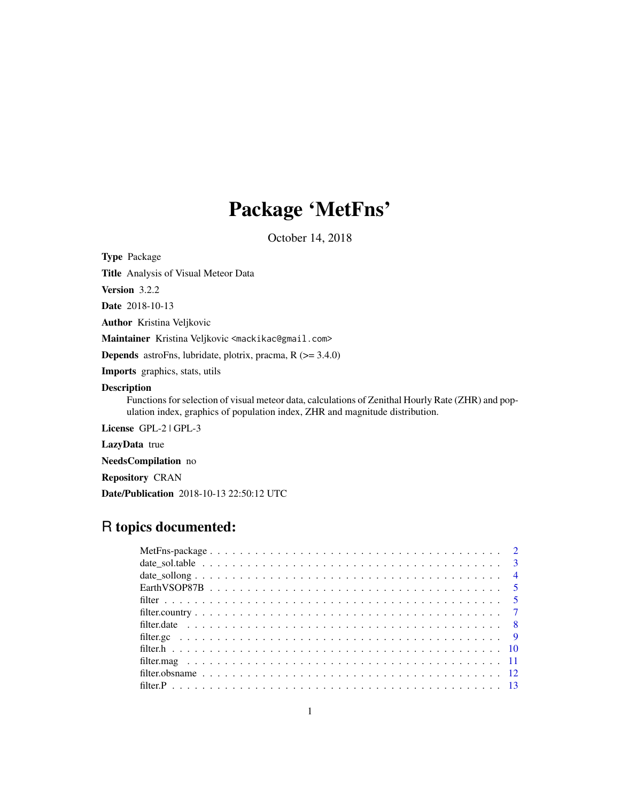# Package 'MetFns'

October 14, 2018

Type Package

Title Analysis of Visual Meteor Data

Version 3.2.2

Date 2018-10-13

Author Kristina Veljkovic

Maintainer Kristina Veljkovic <mackikac@gmail.com>

Depends astroFns, lubridate, plotrix, pracma, R (>= 3.4.0)

Imports graphics, stats, utils

#### Description

Functions for selection of visual meteor data, calculations of Zenithal Hourly Rate (ZHR) and population index, graphics of population index, ZHR and magnitude distribution.

License GPL-2 | GPL-3

LazyData true

NeedsCompilation no

Repository CRAN

Date/Publication 2018-10-13 22:50:12 UTC

# R topics documented: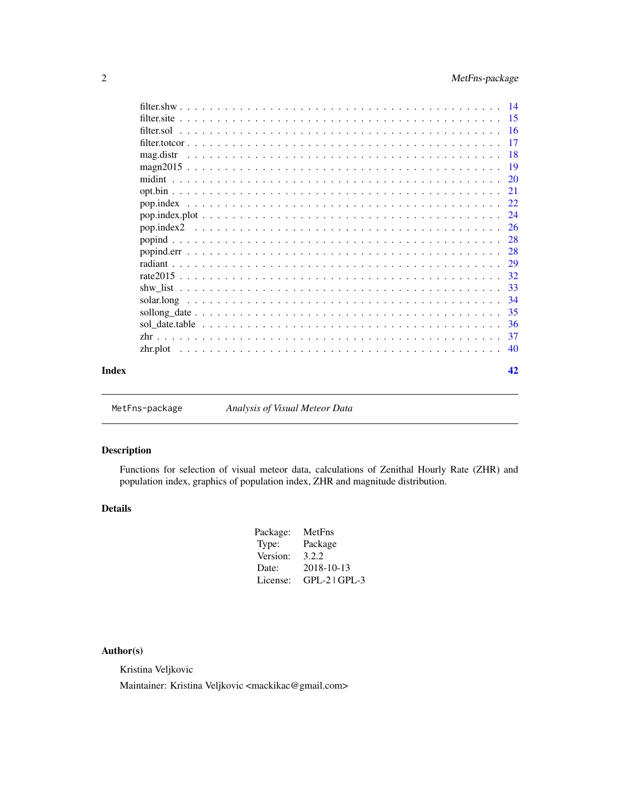<span id="page-1-0"></span>

| mag.distr |  |  |  |  |  |  |  |  |  |  |  |  |  |  |  |  |  |    |
|-----------|--|--|--|--|--|--|--|--|--|--|--|--|--|--|--|--|--|----|
|           |  |  |  |  |  |  |  |  |  |  |  |  |  |  |  |  |  |    |
|           |  |  |  |  |  |  |  |  |  |  |  |  |  |  |  |  |  |    |
|           |  |  |  |  |  |  |  |  |  |  |  |  |  |  |  |  |  |    |
|           |  |  |  |  |  |  |  |  |  |  |  |  |  |  |  |  |  |    |
|           |  |  |  |  |  |  |  |  |  |  |  |  |  |  |  |  |  |    |
|           |  |  |  |  |  |  |  |  |  |  |  |  |  |  |  |  |  |    |
|           |  |  |  |  |  |  |  |  |  |  |  |  |  |  |  |  |  |    |
|           |  |  |  |  |  |  |  |  |  |  |  |  |  |  |  |  |  |    |
|           |  |  |  |  |  |  |  |  |  |  |  |  |  |  |  |  |  |    |
|           |  |  |  |  |  |  |  |  |  |  |  |  |  |  |  |  |  |    |
|           |  |  |  |  |  |  |  |  |  |  |  |  |  |  |  |  |  |    |
|           |  |  |  |  |  |  |  |  |  |  |  |  |  |  |  |  |  |    |
|           |  |  |  |  |  |  |  |  |  |  |  |  |  |  |  |  |  |    |
|           |  |  |  |  |  |  |  |  |  |  |  |  |  |  |  |  |  |    |
|           |  |  |  |  |  |  |  |  |  |  |  |  |  |  |  |  |  | 37 |
|           |  |  |  |  |  |  |  |  |  |  |  |  |  |  |  |  |  |    |
| Index     |  |  |  |  |  |  |  |  |  |  |  |  |  |  |  |  |  | 42 |

MetFns-package *Analysis of Visual Meteor Data*

# Description

Functions for selection of visual meteor data, calculations of Zenithal Hourly Rate (ZHR) and population index, graphics of population index, ZHR and magnitude distribution.

# Details

| Package: | MetFns          |
|----------|-----------------|
| Type:    | Package         |
| Version: | 3.2.2           |
| Date:    | 2018-10-13      |
| License: | $GPL-2$ $GPL-3$ |
|          |                 |

# Author(s)

Kristina Veljkovic

Maintainer: Kristina Veljkovic <mackikac@gmail.com>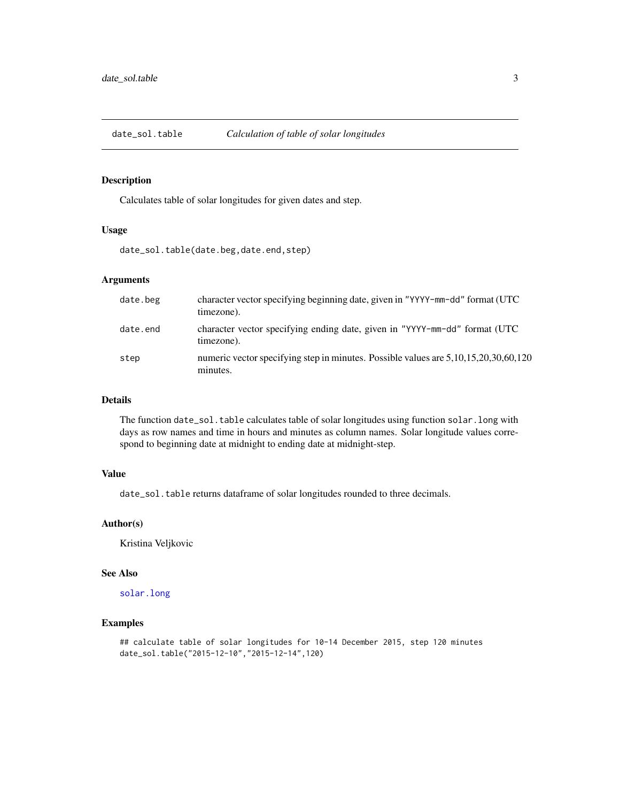<span id="page-2-0"></span>

Calculates table of solar longitudes for given dates and step.

#### Usage

date\_sol.table(date.beg,date.end,step)

# Arguments

| date.beg | character vector specifying beginning date, given in "YYYY-mm-dd" format (UTC<br>timezone).     |
|----------|-------------------------------------------------------------------------------------------------|
| date.end | character vector specifying ending date, given in "YYYY-mm-dd" format (UTC<br>timezone).        |
| step     | numeric vector specifying step in minutes. Possible values are 5,10,15,20,30,60,120<br>minutes. |

# Details

The function date\_sol.table calculates table of solar longitudes using function solar.long with days as row names and time in hours and minutes as column names. Solar longitude values correspond to beginning date at midnight to ending date at midnight-step.

#### Value

date\_sol.table returns dataframe of solar longitudes rounded to three decimals.

#### Author(s)

Kristina Veljkovic

#### See Also

[solar.long](#page-33-1)

# Examples

```
## calculate table of solar longitudes for 10-14 December 2015, step 120 minutes
date_sol.table("2015-12-10","2015-12-14",120)
```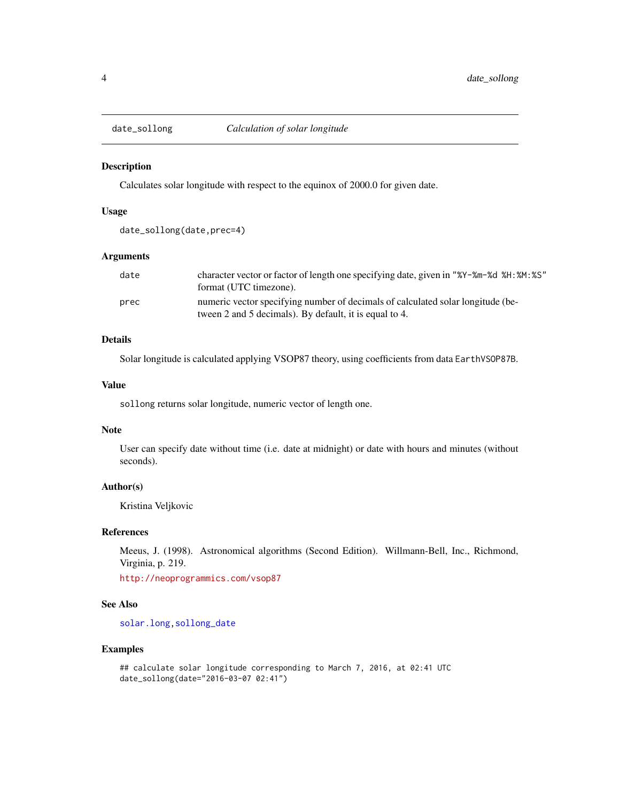<span id="page-3-1"></span><span id="page-3-0"></span>

Calculates solar longitude with respect to the equinox of 2000.0 for given date.

# Usage

```
date_sollong(date,prec=4)
```
# Arguments

| date | character vector or factor of length one specifying date, given in "%Y-%m-%d %H: %M: %S"<br>format (UTC timezone).                        |
|------|-------------------------------------------------------------------------------------------------------------------------------------------|
| prec | numeric vector specifying number of decimals of calculated solar longitude (be-<br>tween 2 and 5 decimals). By default, it is equal to 4. |

# Details

Solar longitude is calculated applying VSOP87 theory, using coefficients from data EarthVSOP87B.

# Value

sollong returns solar longitude, numeric vector of length one.

# Note

User can specify date without time (i.e. date at midnight) or date with hours and minutes (without seconds).

# Author(s)

Kristina Veljkovic

#### References

Meeus, J. (1998). Astronomical algorithms (Second Edition). Willmann-Bell, Inc., Richmond, Virginia, p. 219.

<http://neoprogrammics.com/vsop87>

#### See Also

[solar.long](#page-33-1)[,sollong\\_date](#page-34-1)

#### Examples

```
## calculate solar longitude corresponding to March 7, 2016, at 02:41 UTC
date_sollong(date="2016-03-07 02:41")
```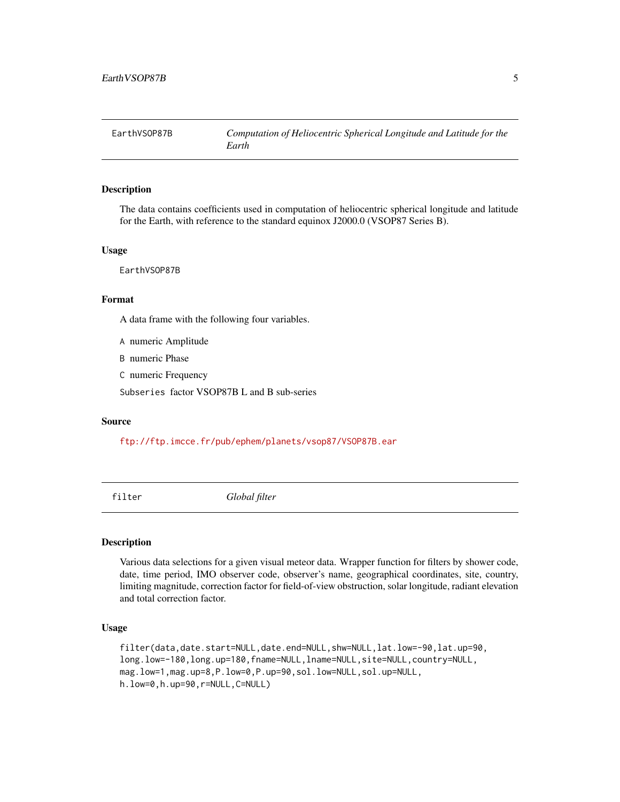<span id="page-4-0"></span>

The data contains coefficients used in computation of heliocentric spherical longitude and latitude for the Earth, with reference to the standard equinox J2000.0 (VSOP87 Series B).

#### Usage

EarthVSOP87B

# Format

A data frame with the following four variables.

A numeric Amplitude

B numeric Phase

C numeric Frequency

Subseries factor VSOP87B L and B sub-series

#### Source

<ftp://ftp.imcce.fr/pub/ephem/planets/vsop87/VSOP87B.ear>

<span id="page-4-1"></span>filter *Global filter*

# Description

Various data selections for a given visual meteor data. Wrapper function for filters by shower code, date, time period, IMO observer code, observer's name, geographical coordinates, site, country, limiting magnitude, correction factor for field-of-view obstruction, solar longitude, radiant elevation and total correction factor.

#### Usage

```
filter(data,date.start=NULL,date.end=NULL,shw=NULL,lat.low=-90,lat.up=90,
long.low=-180,long.up=180,fname=NULL,lname=NULL,site=NULL,country=NULL,
mag.low=1,mag.up=8,P.low=0,P.up=90,sol.low=NULL,sol.up=NULL,
h.low=0,h.up=90,r=NULL,C=NULL)
```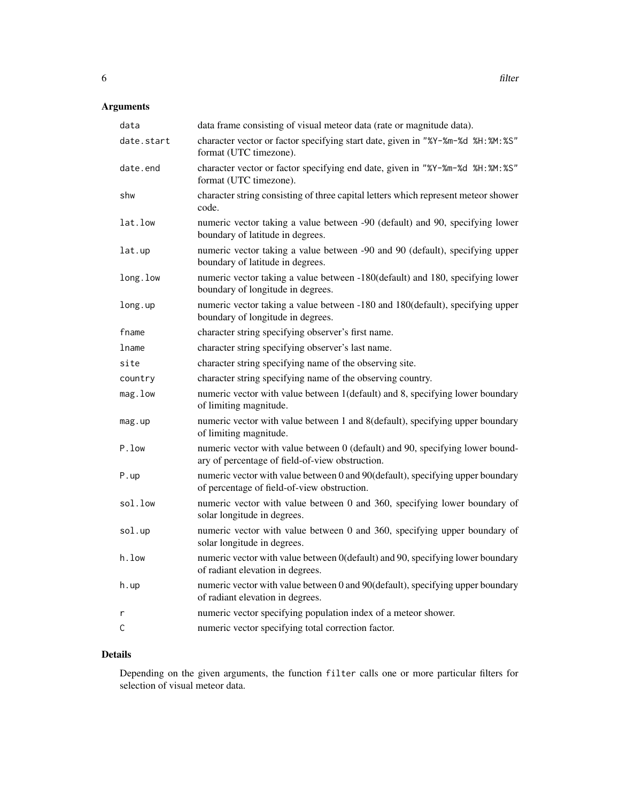# Arguments

| data frame consisting of visual meteor data (rate or magnitude data).                                                            |
|----------------------------------------------------------------------------------------------------------------------------------|
| character vector or factor specifying start date, given in "%Y-%m-%d %H: %M: %S"<br>format (UTC timezone).                       |
| character vector or factor specifying end date, given in "%Y-%m-%d %H:%M:%S"<br>format (UTC timezone).                           |
| character string consisting of three capital letters which represent meteor shower<br>code.                                      |
| numeric vector taking a value between -90 (default) and 90, specifying lower<br>boundary of latitude in degrees.                 |
| numeric vector taking a value between -90 and 90 (default), specifying upper<br>boundary of latitude in degrees.                 |
| numeric vector taking a value between -180(default) and 180, specifying lower<br>boundary of longitude in degrees.               |
| numeric vector taking a value between -180 and 180(default), specifying upper<br>boundary of longitude in degrees.               |
| character string specifying observer's first name.                                                                               |
| character string specifying observer's last name.                                                                                |
| character string specifying name of the observing site.                                                                          |
| character string specifying name of the observing country.                                                                       |
| numeric vector with value between 1(default) and 8, specifying lower boundary<br>of limiting magnitude.                          |
| numeric vector with value between 1 and 8(default), specifying upper boundary<br>of limiting magnitude.                          |
| numeric vector with value between 0 (default) and 90, specifying lower bound-<br>ary of percentage of field-of-view obstruction. |
| numeric vector with value between 0 and 90(default), specifying upper boundary<br>of percentage of field-of-view obstruction.    |
| numeric vector with value between 0 and 360, specifying lower boundary of<br>solar longitude in degrees.                         |
| numeric vector with value between 0 and 360, specifying upper boundary of<br>solar longitude in degrees.                         |
| numeric vector with value between 0(default) and 90, specifying lower boundary<br>of radiant elevation in degrees.               |
| numeric vector with value between 0 and 90(default), specifying upper boundary<br>of radiant elevation in degrees.               |
| numeric vector specifying population index of a meteor shower.                                                                   |
| numeric vector specifying total correction factor.                                                                               |
|                                                                                                                                  |

# Details

Depending on the given arguments, the function filter calls one or more particular filters for selection of visual meteor data.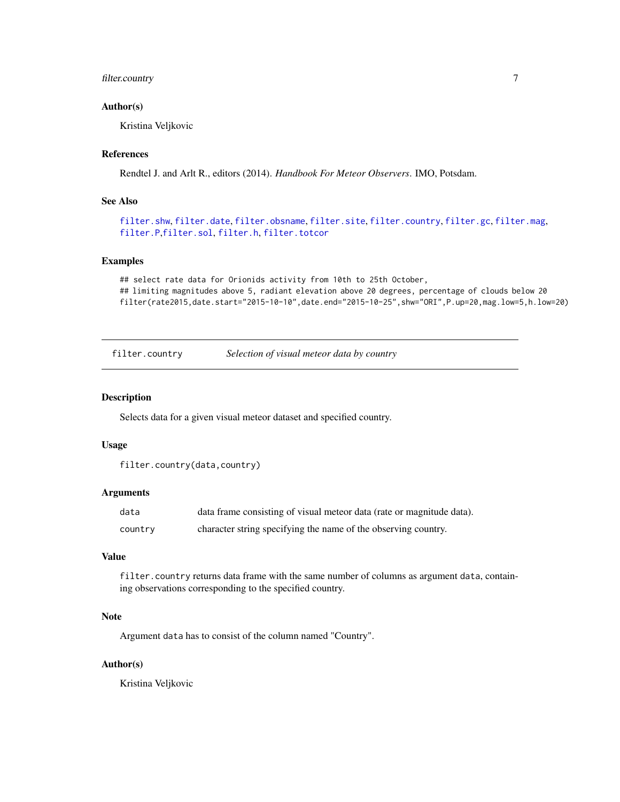# <span id="page-6-0"></span>filter.country 7

#### Author(s)

Kristina Veljkovic

# References

Rendtel J. and Arlt R., editors (2014). *Handbook For Meteor Observers*. IMO, Potsdam.

# See Also

```
filter.shwfilter.datefilter.obsnamefilter.sitefilter.countryfilter.gcfilter.mag,
filter.P,filter.sol, filter.h, filter.totcor
```
# Examples

```
## select rate data for Orionids activity from 10th to 25th October,
## limiting magnitudes above 5, radiant elevation above 20 degrees, percentage of clouds below 20
filter(rate2015,date.start="2015-10-10",date.end="2015-10-25",shw="ORI",P.up=20,mag.low=5,h.low=20)
```
<span id="page-6-1"></span>filter.country *Selection of visual meteor data by country*

#### Description

Selects data for a given visual meteor dataset and specified country.

#### Usage

```
filter.country(data,country)
```
#### Arguments

| data    | data frame consisting of visual meteor data (rate or magnitude data). |
|---------|-----------------------------------------------------------------------|
| country | character string specifying the name of the observing country.        |

# Value

filter.country returns data frame with the same number of columns as argument data, containing observations corresponding to the specified country.

#### Note

Argument data has to consist of the column named "Country".

# Author(s)

Kristina Veljkovic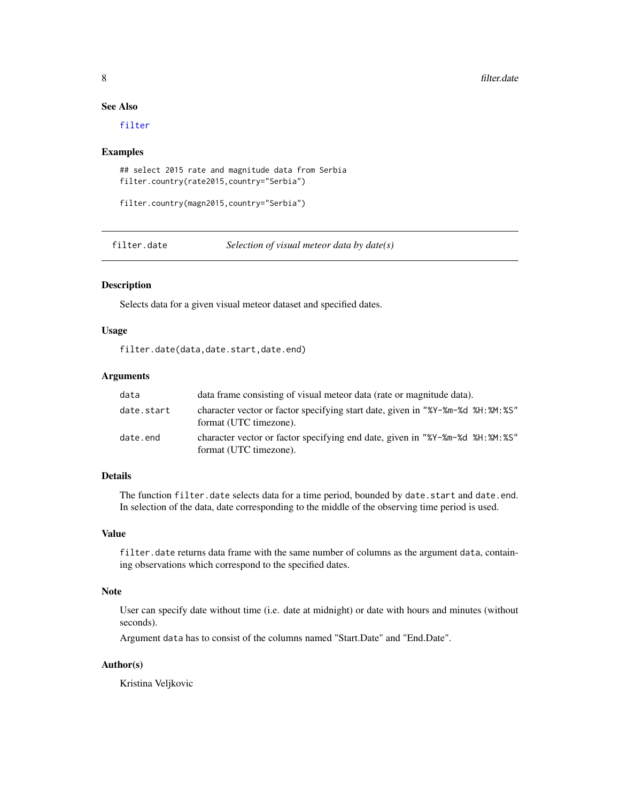# See Also

[filter](#page-4-1)

#### Examples

```
## select 2015 rate and magnitude data from Serbia
filter.country(rate2015,country="Serbia")
```
filter.country(magn2015,country="Serbia")

<span id="page-7-1"></span>filter.date *Selection of visual meteor data by date(s)*

# Description

Selects data for a given visual meteor dataset and specified dates.

# Usage

filter.date(data,date.start,date.end)

# Arguments

| data       | data frame consisting of visual meteor data (rate or magnitude data).                                      |
|------------|------------------------------------------------------------------------------------------------------------|
| date.start | character vector or factor specifying start date, given in "%Y-%m-%d %H: %M: %S"<br>format (UTC timezone). |
| date.end   | character vector or factor specifying end date, given in "%Y-%m-%d %H: %M: %S"<br>format (UTC timezone).   |

# Details

The function filter.date selects data for a time period, bounded by date.start and date.end. In selection of the data, date corresponding to the middle of the observing time period is used.

#### Value

filter.date returns data frame with the same number of columns as the argument data, containing observations which correspond to the specified dates.

# Note

User can specify date without time (i.e. date at midnight) or date with hours and minutes (without seconds).

Argument data has to consist of the columns named "Start.Date" and "End.Date".

# Author(s)

Kristina Veljkovic

<span id="page-7-0"></span>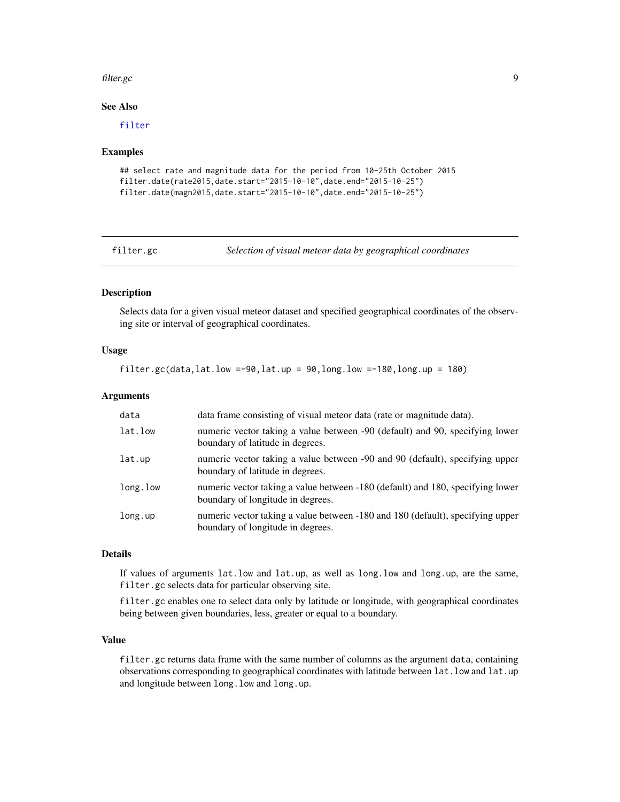#### <span id="page-8-0"></span>filter.gc 99

# See Also

[filter](#page-4-1)

#### Examples

```
## select rate and magnitude data for the period from 10-25th October 2015
filter.date(rate2015,date.start="2015-10-10",date.end="2015-10-25")
filter.date(magn2015,date.start="2015-10-10",date.end="2015-10-25")
```
<span id="page-8-1"></span>filter.gc *Selection of visual meteor data by geographical coordinates*

#### Description

Selects data for a given visual meteor dataset and specified geographical coordinates of the observing site or interval of geographical coordinates.

# Usage

filter.gc(data,lat.low =-90,lat.up =  $90,$ long.low =-180,long.up = 180)

# Arguments

| data     | data frame consisting of visual meteor data (rate or magnitude data).                                               |
|----------|---------------------------------------------------------------------------------------------------------------------|
| lat.low  | numeric vector taking a value between -90 (default) and 90, specifying lower<br>boundary of latitude in degrees.    |
| lat.up   | numeric vector taking a value between -90 and 90 (default), specifying upper<br>boundary of latitude in degrees.    |
| long.low | numeric vector taking a value between -180 (default) and 180, specifying lower<br>boundary of longitude in degrees. |
| long.up  | numeric vector taking a value between -180 and 180 (default), specifying upper<br>boundary of longitude in degrees. |

# Details

If values of arguments lat.low and lat.up, as well as long.low and long.up, are the same, filter.gc selects data for particular observing site.

filter.gc enables one to select data only by latitude or longitude, with geographical coordinates being between given boundaries, less, greater or equal to a boundary.

# Value

filter.gc returns data frame with the same number of columns as the argument data, containing observations corresponding to geographical coordinates with latitude between lat.low and lat.up and longitude between long.low and long.up.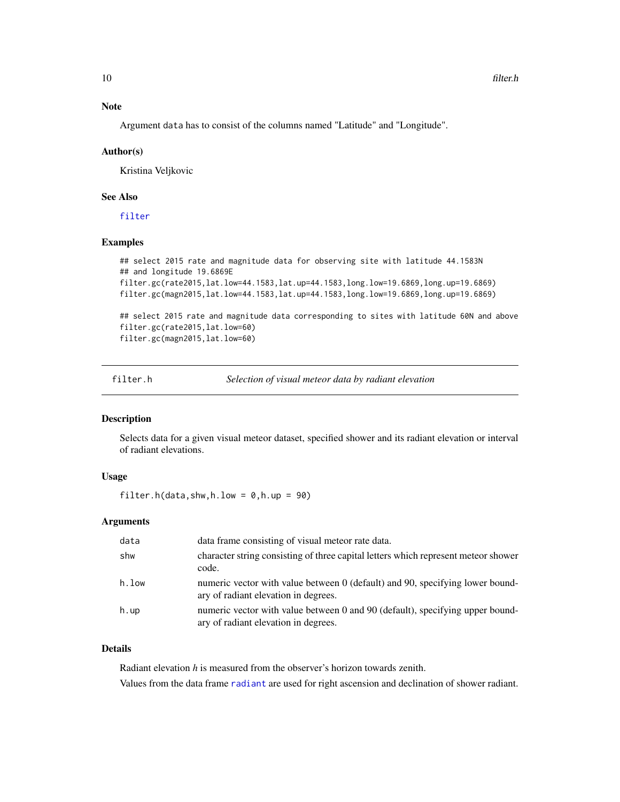<span id="page-9-0"></span>Argument data has to consist of the columns named "Latitude" and "Longitude".

#### Author(s)

Kristina Veljkovic

#### See Also

[filter](#page-4-1)

#### Examples

```
## select 2015 rate and magnitude data for observing site with latitude 44.1583N
## and longitude 19.6869E
filter.gc(rate2015,lat.low=44.1583,lat.up=44.1583,long.low=19.6869,long.up=19.6869)
filter.gc(magn2015,lat.low=44.1583,lat.up=44.1583,long.low=19.6869,long.up=19.6869)
```
## select 2015 rate and magnitude data corresponding to sites with latitude 60N and above filter.gc(rate2015,lat.low=60) filter.gc(magn2015,lat.low=60)

<span id="page-9-1"></span>filter.h *Selection of visual meteor data by radiant elevation*

#### Description

Selects data for a given visual meteor dataset, specified shower and its radiant elevation or interval of radiant elevations.

#### Usage

filter.h(data,shw,h.low =  $0, h.$ up =  $90)$ 

#### Arguments

| data  | data frame consisting of visual meteor rate data.                                                                     |
|-------|-----------------------------------------------------------------------------------------------------------------------|
| shw   | character string consisting of three capital letters which represent meteor shower<br>code.                           |
| h.low | numeric vector with value between 0 (default) and 90, specifying lower bound-<br>ary of radiant elevation in degrees. |
| h.up  | numeric vector with value between 0 and 90 (default), specifying upper bound-<br>ary of radiant elevation in degrees. |

#### Details

Radiant elevation *h* is measured from the observer's horizon towards zenith. Values from the data frame [radiant](#page-28-1) are used for right ascension and declination of shower radiant.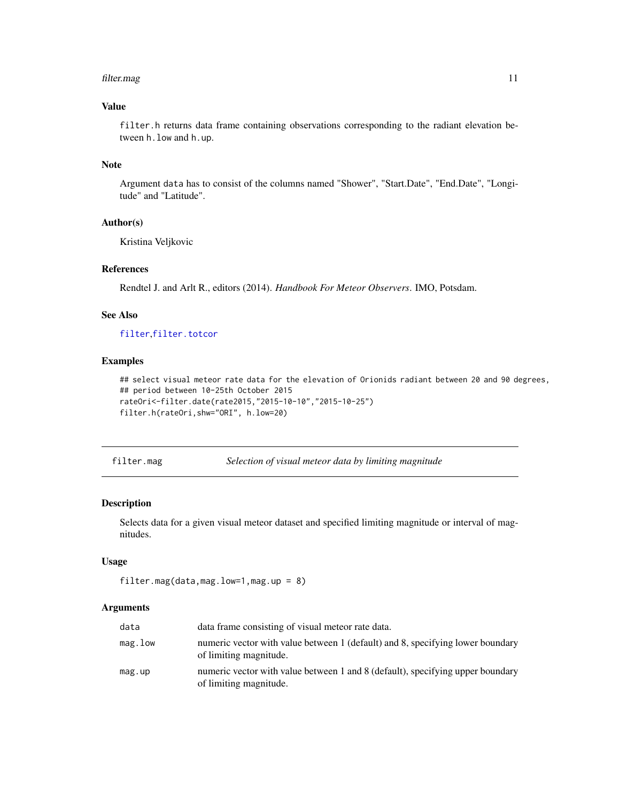#### <span id="page-10-0"></span>filter.mag 11

# Value

filter.h returns data frame containing observations corresponding to the radiant elevation between h.low and h.up.

# Note

Argument data has to consist of the columns named "Shower", "Start.Date", "End.Date", "Longitude" and "Latitude".

# Author(s)

Kristina Veljkovic

# References

Rendtel J. and Arlt R., editors (2014). *Handbook For Meteor Observers*. IMO, Potsdam.

# See Also

[filter](#page-4-1),[filter.totcor](#page-16-1)

# Examples

## select visual meteor rate data for the elevation of Orionids radiant between 20 and 90 degrees, ## period between 10-25th October 2015 rateOri<-filter.date(rate2015,"2015-10-10","2015-10-25") filter.h(rateOri,shw="ORI", h.low=20)

<span id="page-10-1"></span>filter.mag *Selection of visual meteor data by limiting magnitude*

#### Description

Selects data for a given visual meteor dataset and specified limiting magnitude or interval of magnitudes.

# Usage

```
filter.mag(data,mag.low=1,mag.up = 8)
```
#### Arguments

| data    | data frame consisting of visual meteor rate data.                                                        |
|---------|----------------------------------------------------------------------------------------------------------|
| mag.low | numeric vector with value between 1 (default) and 8, specifying lower boundary<br>of limiting magnitude. |
| mag.up  | numeric vector with value between 1 and 8 (default), specifying upper boundary<br>of limiting magnitude. |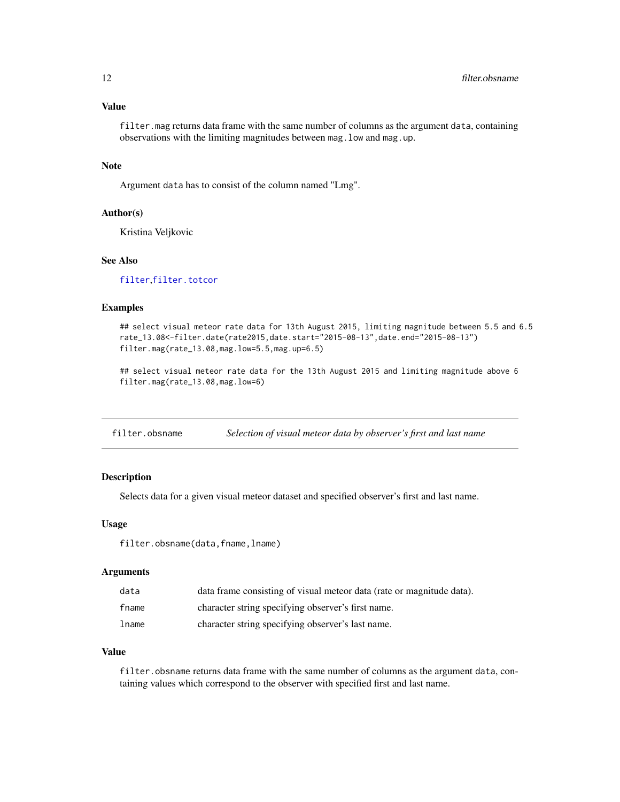# <span id="page-11-0"></span>Value

filter.mag returns data frame with the same number of columns as the argument data, containing observations with the limiting magnitudes between mag.low and mag.up.

# Note

Argument data has to consist of the column named "Lmg".

#### Author(s)

Kristina Veljkovic

# See Also

[filter](#page-4-1),[filter.totcor](#page-16-1)

# Examples

## select visual meteor rate data for 13th August 2015, limiting magnitude between 5.5 and 6.5 rate\_13.08<-filter.date(rate2015,date.start="2015-08-13",date.end="2015-08-13") filter.mag(rate\_13.08,mag.low=5.5,mag.up=6.5)

## select visual meteor rate data for the 13th August 2015 and limiting magnitude above 6 filter.mag(rate\_13.08,mag.low=6)

<span id="page-11-1"></span>filter.obsname *Selection of visual meteor data by observer's first and last name*

# Description

Selects data for a given visual meteor dataset and specified observer's first and last name.

#### Usage

filter.obsname(data,fname,lname)

#### Arguments

| data  | data frame consisting of visual meteor data (rate or magnitude data). |
|-------|-----------------------------------------------------------------------|
| fname | character string specifying observer's first name.                    |
| lname | character string specifying observer's last name.                     |

#### Value

filter.obsname returns data frame with the same number of columns as the argument data, containing values which correspond to the observer with specified first and last name.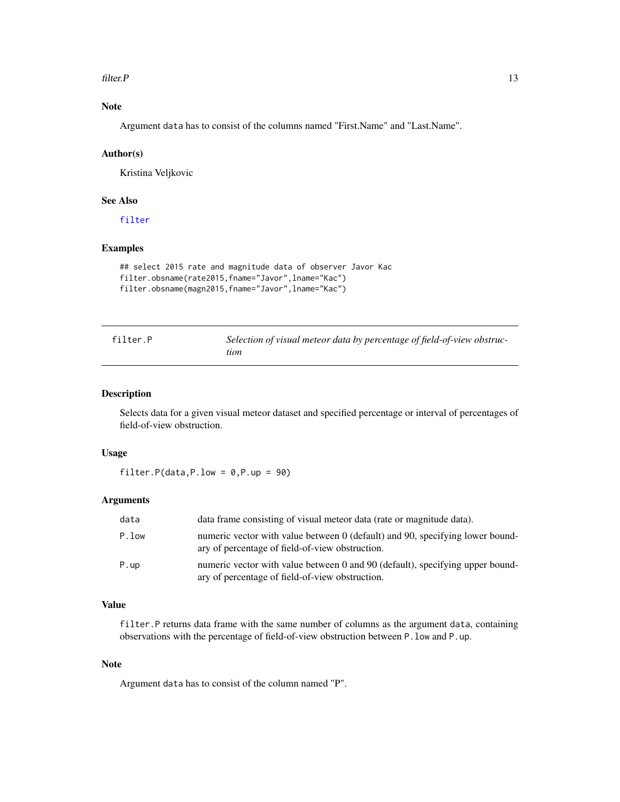#### <span id="page-12-0"></span> $filter.P$  13

# Note

Argument data has to consist of the columns named "First.Name" and "Last.Name".

#### Author(s)

Kristina Veljkovic

# See Also

[filter](#page-4-1)

# Examples

```
## select 2015 rate and magnitude data of observer Javor Kac
filter.obsname(rate2015,fname="Javor",lname="Kac")
filter.obsname(magn2015,fname="Javor",lname="Kac")
```
<span id="page-12-1"></span>

| filter.P | Selection of visual meteor data by percentage of field-of-view obstruc- |
|----------|-------------------------------------------------------------------------|
|          | tion                                                                    |

# Description

Selects data for a given visual meteor dataset and specified percentage or interval of percentages of field-of-view obstruction.

# Usage

filter.P(data,P.low =  $0, P.$ up =  $90)$ 

# Arguments

| data  | data frame consisting of visual meteor data (rate or magnitude data).                                                            |
|-------|----------------------------------------------------------------------------------------------------------------------------------|
| P.low | numeric vector with value between 0 (default) and 90, specifying lower bound-<br>ary of percentage of field-of-view obstruction. |
| P.up  | numeric vector with value between 0 and 90 (default), specifying upper bound-<br>ary of percentage of field-of-view obstruction. |

# Value

filter. P returns data frame with the same number of columns as the argument data, containing observations with the percentage of field-of-view obstruction between P.low and P.up.

# Note

Argument data has to consist of the column named "P".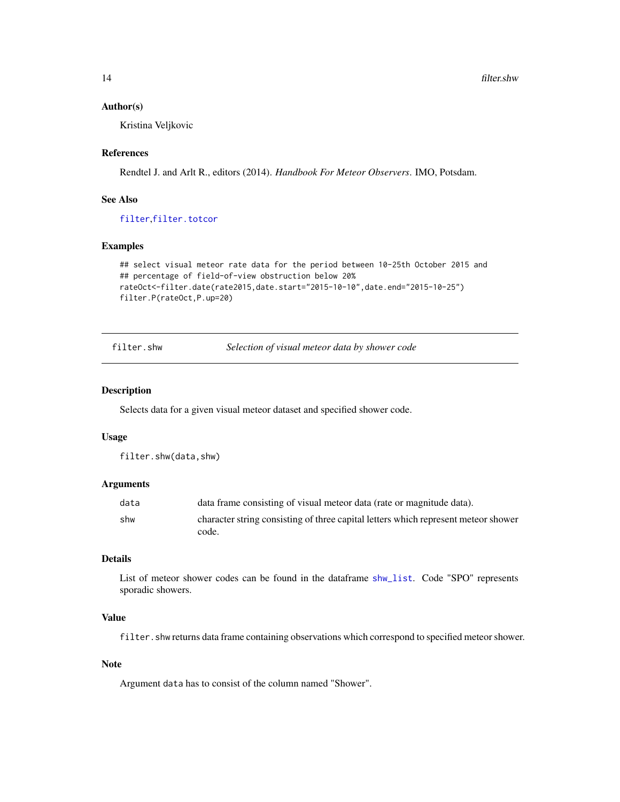#### <span id="page-13-0"></span>Author(s)

Kristina Veljkovic

#### References

Rendtel J. and Arlt R., editors (2014). *Handbook For Meteor Observers*. IMO, Potsdam.

# See Also

[filter](#page-4-1),[filter.totcor](#page-16-1)

# Examples

```
## select visual meteor rate data for the period between 10-25th October 2015 and
## percentage of field-of-view obstruction below 20%
rateOct<-filter.date(rate2015,date.start="2015-10-10",date.end="2015-10-25")
filter.P(rateOct,P.up=20)
```
<span id="page-13-1"></span>filter.shw *Selection of visual meteor data by shower code*

# Description

Selects data for a given visual meteor dataset and specified shower code.

### Usage

filter.shw(data,shw)

# Arguments

| data | data frame consisting of visual meteor data (rate or magnitude data).                       |
|------|---------------------------------------------------------------------------------------------|
| shw  | character string consisting of three capital letters which represent meteor shower<br>code. |

#### Details

List of meteor shower codes can be found in the dataframe [shw\\_list](#page-32-1). Code "SPO" represents sporadic showers.

# Value

filter.shw returns data frame containing observations which correspond to specified meteor shower.

# Note

Argument data has to consist of the column named "Shower".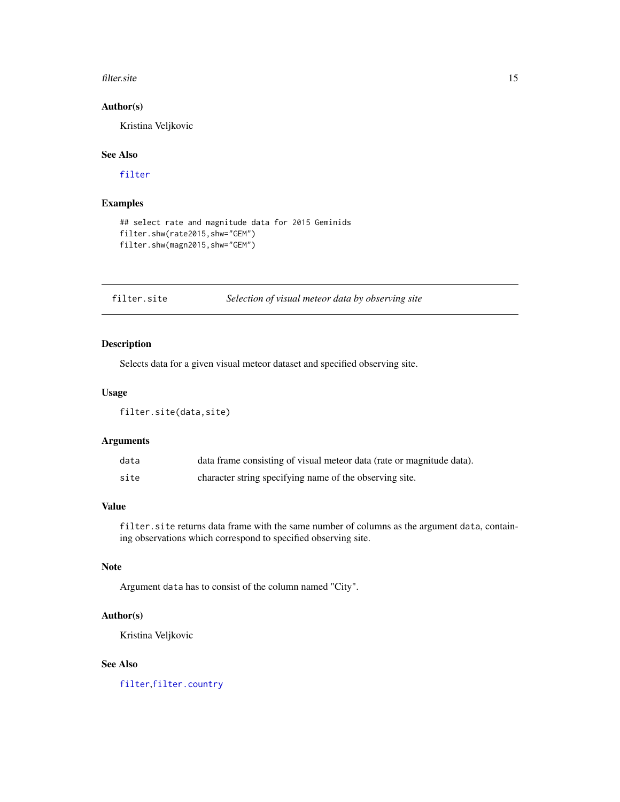#### <span id="page-14-0"></span>filter.site 15

# Author(s)

Kristina Veljkovic

# See Also

[filter](#page-4-1)

# Examples

```
## select rate and magnitude data for 2015 Geminids
filter.shw(rate2015,shw="GEM")
filter.shw(magn2015,shw="GEM")
```
#### <span id="page-14-1"></span>filter.site *Selection of visual meteor data by observing site*

# Description

Selects data for a given visual meteor dataset and specified observing site.

#### Usage

filter.site(data,site)

#### Arguments

| data | data frame consisting of visual meteor data (rate or magnitude data). |
|------|-----------------------------------------------------------------------|
| site | character string specifying name of the observing site.               |

# Value

filter.site returns data frame with the same number of columns as the argument data, containing observations which correspond to specified observing site.

# Note

Argument data has to consist of the column named "City".

# Author(s)

Kristina Veljkovic

# See Also

[filter](#page-4-1),[filter.country](#page-6-1)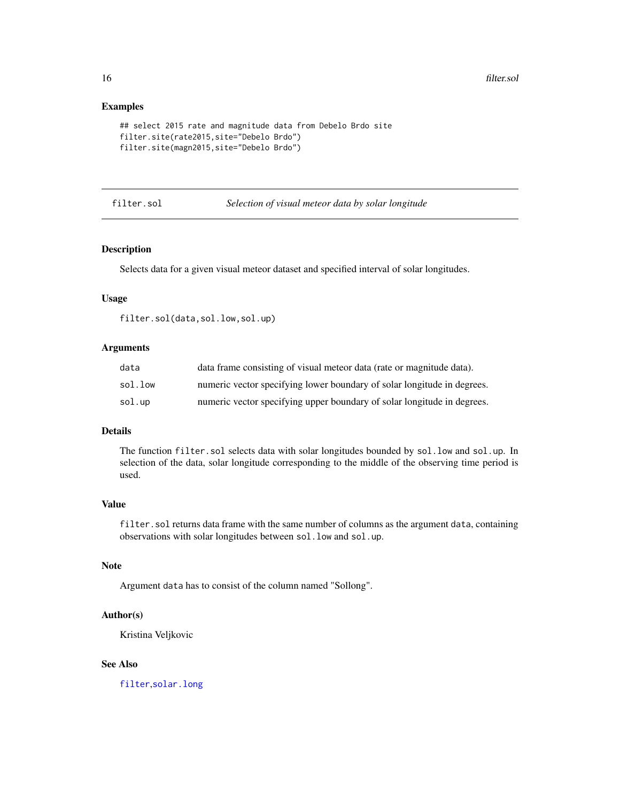#### Examples

```
## select 2015 rate and magnitude data from Debelo Brdo site
filter.site(rate2015,site="Debelo Brdo")
filter.site(magn2015,site="Debelo Brdo")
```
#### filter.sol *Selection of visual meteor data by solar longitude*

## Description

Selects data for a given visual meteor dataset and specified interval of solar longitudes.

#### Usage

filter.sol(data,sol.low,sol.up)

#### Arguments

| data    | data frame consisting of visual meteor data (rate or magnitude data).   |
|---------|-------------------------------------------------------------------------|
| sol.low | numeric vector specifying lower boundary of solar longitude in degrees. |
| sol.up  | numeric vector specifying upper boundary of solar longitude in degrees. |

# Details

The function filter.sol selects data with solar longitudes bounded by sol.low and sol.up. In selection of the data, solar longitude corresponding to the middle of the observing time period is used.

# Value

filter.sol returns data frame with the same number of columns as the argument data, containing observations with solar longitudes between sol.low and sol.up.

# Note

Argument data has to consist of the column named "Sollong".

# Author(s)

Kristina Veljkovic

# See Also

[filter](#page-4-1),[solar.long](#page-33-1)

<span id="page-15-0"></span>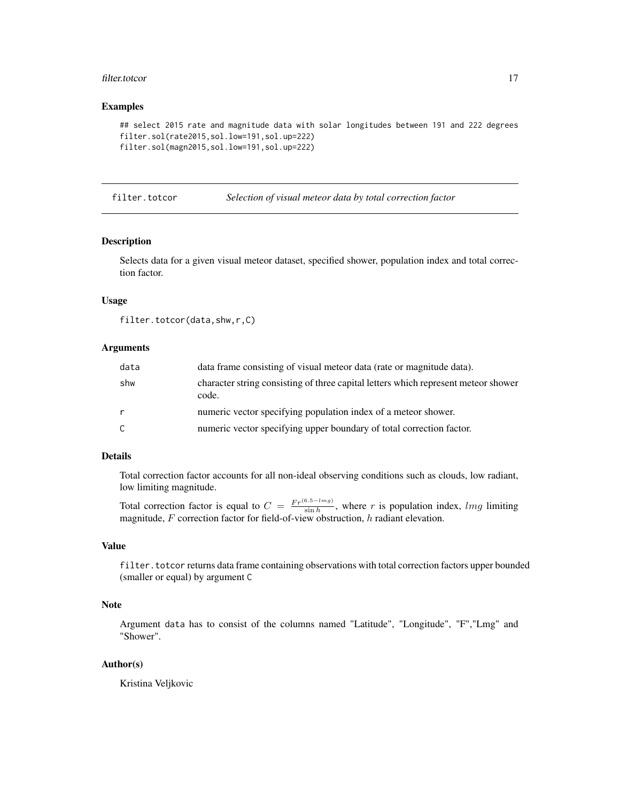#### <span id="page-16-0"></span>filter.totcor 17

#### Examples

```
## select 2015 rate and magnitude data with solar longitudes between 191 and 222 degrees
filter.sol(rate2015,sol.low=191,sol.up=222)
filter.sol(magn2015,sol.low=191,sol.up=222)
```
<span id="page-16-1"></span>filter.totcor *Selection of visual meteor data by total correction factor*

# Description

Selects data for a given visual meteor dataset, specified shower, population index and total correction factor.

# Usage

filter.totcor(data,shw,r,C)

#### Arguments

| data         | data frame consisting of visual meteor data (rate or magnitude data).                       |
|--------------|---------------------------------------------------------------------------------------------|
| shw          | character string consisting of three capital letters which represent meteor shower<br>code. |
| $\mathsf{r}$ | numeric vector specifying population index of a meteor shower.                              |
| C            | numeric vector specifying upper boundary of total correction factor.                        |

# Details

Total correction factor accounts for all non-ideal observing conditions such as clouds, low radiant, low limiting magnitude.

Total correction factor is equal to  $C = \frac{Fr^{(6.5-lmg)}}{\sin h}$ , where r is population index, lmg limiting magnitude,  $F$  correction factor for field-of-view obstruction,  $h$  radiant elevation.

# Value

filter.totcor returns data frame containing observations with total correction factors upper bounded (smaller or equal) by argument C

# Note

Argument data has to consist of the columns named "Latitude", "Longitude", "F","Lmg" and "Shower".

# Author(s)

Kristina Veljkovic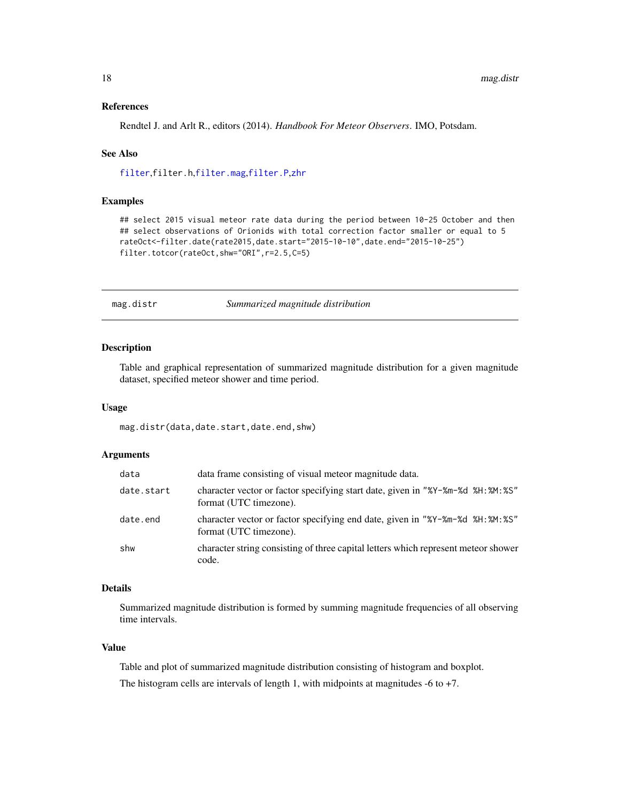#### References

Rendtel J. and Arlt R., editors (2014). *Handbook For Meteor Observers*. IMO, Potsdam.

#### See Also

[filter](#page-4-1),filter.h,[filter.mag](#page-10-1),[filter.P](#page-12-1),[zhr](#page-36-1)

# Examples

## select 2015 visual meteor rate data during the period between 10-25 October and then ## select observations of Orionids with total correction factor smaller or equal to 5 rateOct<-filter.date(rate2015,date.start="2015-10-10",date.end="2015-10-25") filter.totcor(rateOct,shw="ORI",r=2.5,C=5)

<span id="page-17-1"></span>

mag.distr *Summarized magnitude distribution*

# Description

Table and graphical representation of summarized magnitude distribution for a given magnitude dataset, specified meteor shower and time period.

#### Usage

mag.distr(data,date.start,date.end,shw)

#### Arguments

| data       | data frame consisting of visual meteor magnitude data.                                                     |
|------------|------------------------------------------------------------------------------------------------------------|
| date.start | character vector or factor specifying start date, given in "%Y-%m-%d %H: %M: %S"<br>format (UTC timezone). |
| date.end   | character vector or factor specifying end date, given in "%Y-%m-%d %H: %M: %S"<br>format (UTC timezone).   |
| shw        | character string consisting of three capital letters which represent meteor shower<br>code.                |

#### Details

Summarized magnitude distribution is formed by summing magnitude frequencies of all observing time intervals.

#### Value

Table and plot of summarized magnitude distribution consisting of histogram and boxplot. The histogram cells are intervals of length 1, with midpoints at magnitudes  $-6$  to  $+7$ .

<span id="page-17-0"></span>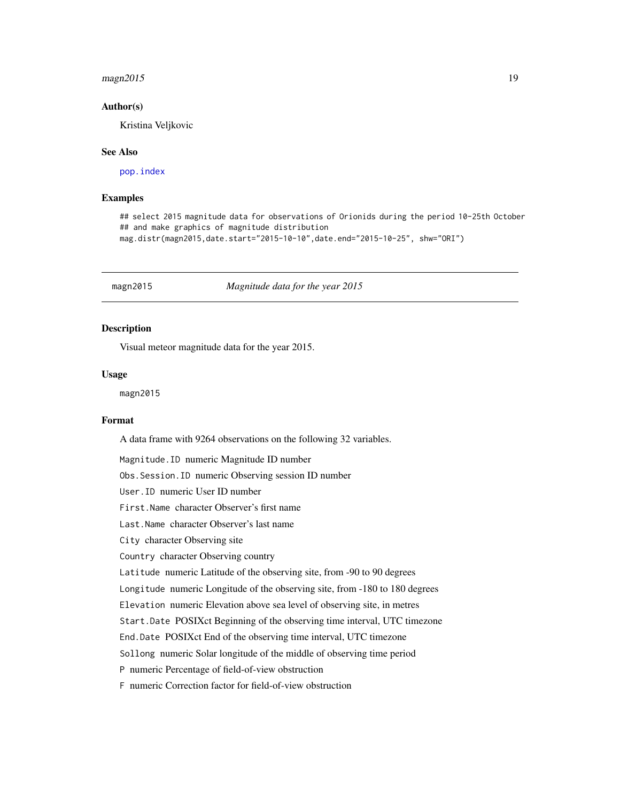#### <span id="page-18-0"></span> $magn2015$  19

#### Author(s)

Kristina Veljkovic

#### See Also

[pop.index](#page-21-1)

# Examples

## select 2015 magnitude data for observations of Orionids during the period 10-25th October ## and make graphics of magnitude distribution mag.distr(magn2015,date.start="2015-10-10",date.end="2015-10-25", shw="ORI")

magn2015 *Magnitude data for the year 2015*

# Description

Visual meteor magnitude data for the year 2015.

#### Usage

magn2015

#### Format

A data frame with 9264 observations on the following 32 variables.

Magnitude.ID numeric Magnitude ID number

Obs.Session.ID numeric Observing session ID number

User.ID numeric User ID number

First.Name character Observer's first name

Last.Name character Observer's last name

City character Observing site

Country character Observing country

Latitude numeric Latitude of the observing site, from -90 to 90 degrees

Longitude numeric Longitude of the observing site, from -180 to 180 degrees

Elevation numeric Elevation above sea level of observing site, in metres

Start.Date POSIXct Beginning of the observing time interval, UTC timezone

End.Date POSIXct End of the observing time interval, UTC timezone

Sollong numeric Solar longitude of the middle of observing time period

P numeric Percentage of field-of-view obstruction

F numeric Correction factor for field-of-view obstruction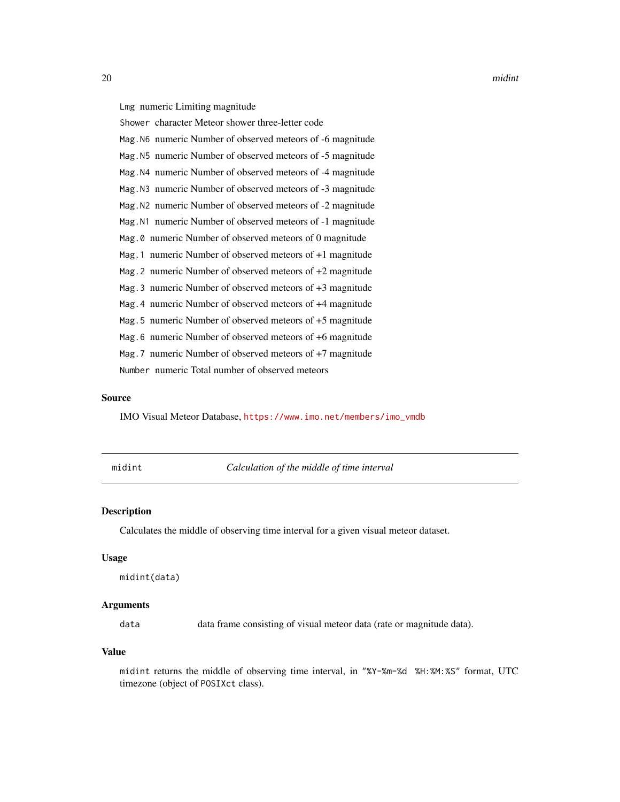<span id="page-19-0"></span>20 midint

Lmg numeric Limiting magnitude

Shower character Meteor shower three-letter code

Mag.N6 numeric Number of observed meteors of -6 magnitude

Mag.N5 numeric Number of observed meteors of -5 magnitude

Mag.N4 numeric Number of observed meteors of -4 magnitude

Mag.N3 numeric Number of observed meteors of -3 magnitude

Mag.N2 numeric Number of observed meteors of -2 magnitude Mag.N1 numeric Number of observed meteors of -1 magnitude

Mag.0 numeric Number of observed meteors of 0 magnitude

Mag.1 numeric Number of observed meteors of +1 magnitude

Mag.2 numeric Number of observed meteors of +2 magnitude

Mag.3 numeric Number of observed meteors of +3 magnitude

Mag.4 numeric Number of observed meteors of +4 magnitude

Mag.5 numeric Number of observed meteors of +5 magnitude

Mag.6 numeric Number of observed meteors of +6 magnitude

Mag.7 numeric Number of observed meteors of +7 magnitude

Number numeric Total number of observed meteors

#### Source

IMO Visual Meteor Database, [https://www.imo.net/members/imo\\_vmdb](https://www.imo.net/members/imo_vmdb)

midint *Calculation of the middle of time interval*

#### **Description**

Calculates the middle of observing time interval for a given visual meteor dataset.

#### Usage

midint(data)

#### Arguments

data data frame consisting of visual meteor data (rate or magnitude data).

#### Value

midint returns the middle of observing time interval, in "%Y-%m-%d %H:%M:%S" format, UTC timezone (object of POSIXct class).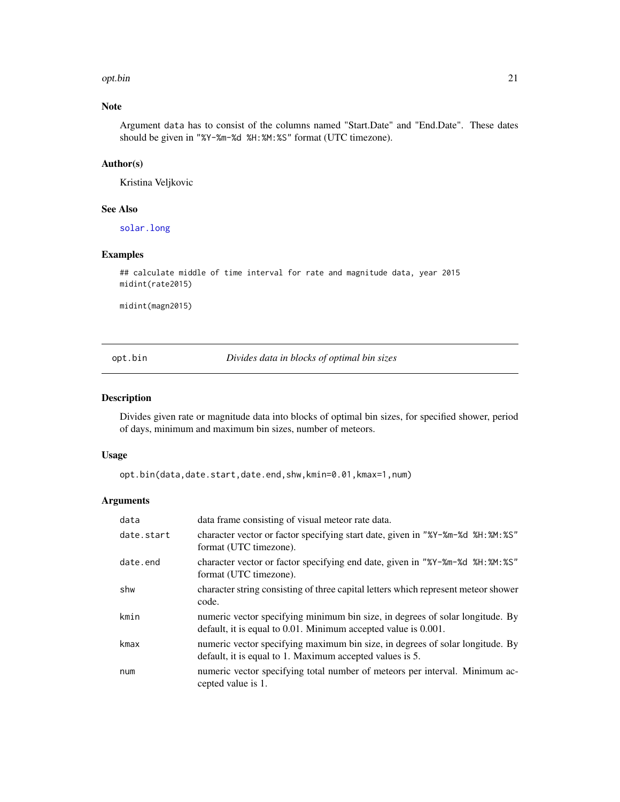#### <span id="page-20-0"></span>opt.bin 21

# Note

Argument data has to consist of the columns named "Start.Date" and "End.Date". These dates should be given in "%Y-%m-%d %H:%M:%S" format (UTC timezone).

# Author(s)

Kristina Veljkovic

# See Also

[solar.long](#page-33-1)

# Examples

```
## calculate middle of time interval for rate and magnitude data, year 2015
midint(rate2015)
```
midint(magn2015)

opt.bin *Divides data in blocks of optimal bin sizes*

#### Description

Divides given rate or magnitude data into blocks of optimal bin sizes, for specified shower, period of days, minimum and maximum bin sizes, number of meteors.

#### Usage

opt.bin(data,date.start,date.end,shw,kmin=0.01,kmax=1,num)

# Arguments

| data       | data frame consisting of visual meteor rate data.                                                                                               |
|------------|-------------------------------------------------------------------------------------------------------------------------------------------------|
| date.start | character vector or factor specifying start date, given in "%Y-%m-%d %H:%M:%S"<br>format (UTC timezone).                                        |
| date.end   | character vector or factor specifying end date, given in "%Y-%m-%d %H: %M: %S"<br>format (UTC timezone).                                        |
| shw        | character string consisting of three capital letters which represent meteor shower<br>code.                                                     |
| kmin       | numeric vector specifying minimum bin size, in degrees of solar longitude. By<br>default, it is equal to 0.01. Minimum accepted value is 0.001. |
| kmax       | numeric vector specifying maximum bin size, in degrees of solar longitude. By<br>default, it is equal to 1. Maximum accepted values is 5.       |
| num        | numeric vector specifying total number of meteors per interval. Minimum ac-<br>cepted value is 1.                                               |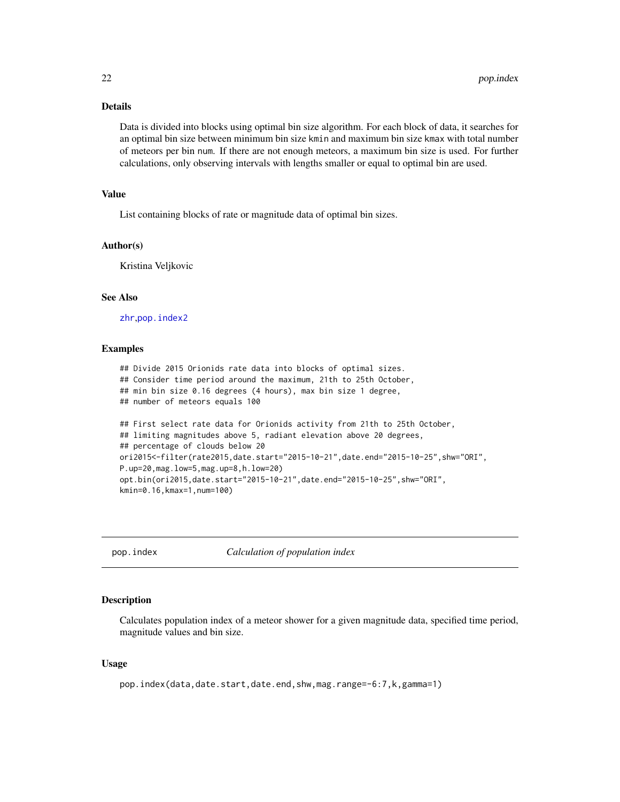# Details

Data is divided into blocks using optimal bin size algorithm. For each block of data, it searches for an optimal bin size between minimum bin size kmin and maximum bin size kmax with total number of meteors per bin num. If there are not enough meteors, a maximum bin size is used. For further calculations, only observing intervals with lengths smaller or equal to optimal bin are used.

# Value

List containing blocks of rate or magnitude data of optimal bin sizes.

#### Author(s)

Kristina Veljkovic

# See Also

[zhr](#page-36-1),[pop.index2](#page-25-1)

#### Examples

```
## Divide 2015 Orionids rate data into blocks of optimal sizes.
## Consider time period around the maximum, 21th to 25th October,
## min bin size 0.16 degrees (4 hours), max bin size 1 degree,
## number of meteors equals 100
## First select rate data for Orionids activity from 21th to 25th October,
## limiting magnitudes above 5, radiant elevation above 20 degrees,
## percentage of clouds below 20
ori2015<-filter(rate2015,date.start="2015-10-21",date.end="2015-10-25",shw="ORI",
P.up=20,mag.low=5,mag.up=8,h.low=20)
opt.bin(ori2015,date.start="2015-10-21",date.end="2015-10-25",shw="ORI",
kmin=0.16,kmax=1,num=100)
```
<span id="page-21-1"></span>pop.index *Calculation of population index*

#### Description

Calculates population index of a meteor shower for a given magnitude data, specified time period, magnitude values and bin size.

#### Usage

pop.index(data,date.start,date.end,shw,mag.range=-6:7,k,gamma=1)

<span id="page-21-0"></span>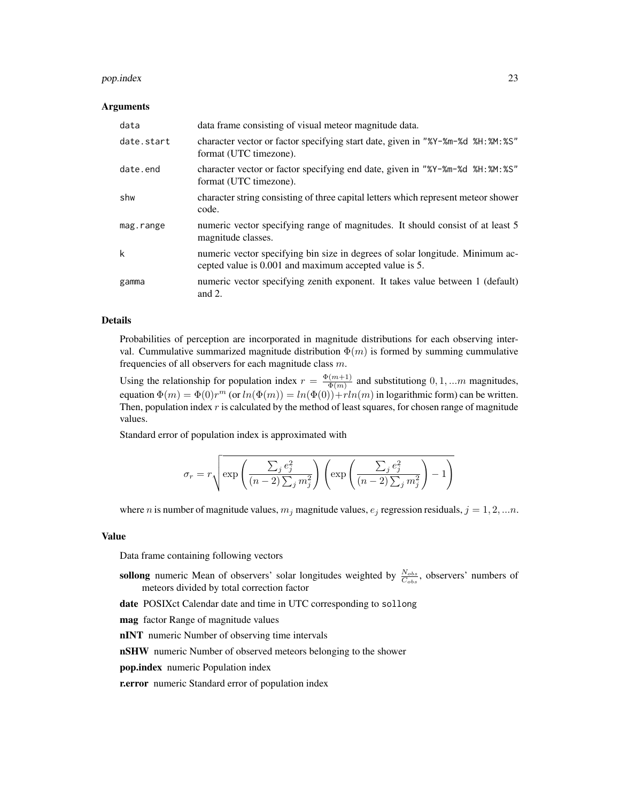#### pop.index 23

#### Arguments

| data       | data frame consisting of visual meteor magnitude data.                                                                                  |
|------------|-----------------------------------------------------------------------------------------------------------------------------------------|
| date.start | character vector or factor specifying start date, given in "%Y-%m-%d %H:%M:%S"<br>format (UTC timezone).                                |
| date.end   | character vector or factor specifying end date, given in "%Y-%m-%d %H: %M: %S"<br>format (UTC timezone).                                |
| shw        | character string consisting of three capital letters which represent meteor shower<br>code.                                             |
| mag.range  | numeric vector specifying range of magnitudes. It should consist of at least 5<br>magnitude classes.                                    |
| k          | numeric vector specifying bin size in degrees of solar longitude. Minimum ac-<br>cepted value is 0.001 and maximum accepted value is 5. |
| gamma      | numeric vector specifying zenith exponent. It takes value between 1 (default)<br>and $2$ .                                              |

#### Details

Probabilities of perception are incorporated in magnitude distributions for each observing interval. Cummulative summarized magnitude distribution  $\Phi(m)$  is formed by summing cummulative frequencies of all observers for each magnitude class  $m$ .

Using the relationship for population index  $r = \frac{\Phi(m+1)}{\Phi(m)}$  $\frac{(m+1)}{\Phi(m)}$  and substitutiong  $0, 1, ...m$  magnitudes, equation  $\Phi(m) = \Phi(0)r^m$  (or  $ln(\Phi(m)) = ln(\Phi(0)) + rln(m)$  in logarithmic form) can be written. Then, population index  $r$  is calculated by the method of least squares, for chosen range of magnitude values.

Standard error of population index is approximated with

$$
\sigma_r = r \sqrt{\exp \left( \frac{\sum_j e_j^2}{(n-2) \sum_j m_j^2} \right) \left( \exp \left( \frac{\sum_j e_j^2}{(n-2) \sum_j m_j^2} \right) - 1 \right)}
$$

where *n* is number of magnitude values,  $m_j$  magnitude values,  $e_j$  regression residuals,  $j = 1, 2, ...n$ .

#### Value

Data frame containing following vectors

- sollong numeric Mean of observers' solar longitudes weighted by  $\frac{N_{obs}}{C_{obs}}$ , observers' numbers of meteors divided by total correction factor
- date POSIXct Calendar date and time in UTC corresponding to sollong

mag factor Range of magnitude values

nINT numeric Number of observing time intervals

nSHW numeric Number of observed meteors belonging to the shower

pop.index numeric Population index

r.error numeric Standard error of population index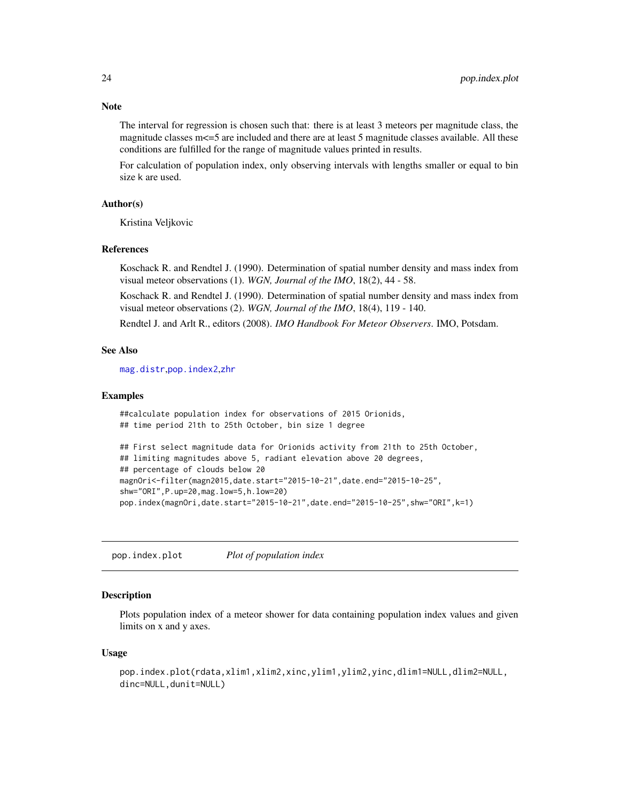The interval for regression is chosen such that: there is at least 3 meteors per magnitude class, the magnitude classes m <= 5 are included and there are at least 5 magnitude classes available. All these conditions are fulfilled for the range of magnitude values printed in results.

For calculation of population index, only observing intervals with lengths smaller or equal to bin size k are used.

#### Author(s)

Kristina Veljkovic

#### References

Koschack R. and Rendtel J. (1990). Determination of spatial number density and mass index from visual meteor observations (1). *WGN, Journal of the IMO*, 18(2), 44 - 58.

Koschack R. and Rendtel J. (1990). Determination of spatial number density and mass index from visual meteor observations (2). *WGN, Journal of the IMO*, 18(4), 119 - 140.

Rendtel J. and Arlt R., editors (2008). *IMO Handbook For Meteor Observers*. IMO, Potsdam.

#### See Also

[mag.distr](#page-17-1),[pop.index2](#page-25-1),[zhr](#page-36-1)

#### Examples

```
##calculate population index for observations of 2015 Orionids,
## time period 21th to 25th October, bin size 1 degree
## First select magnitude data for Orionids activity from 21th to 25th October,
## limiting magnitudes above 5, radiant elevation above 20 degrees,
## percentage of clouds below 20
magnOri<-filter(magn2015,date.start="2015-10-21",date.end="2015-10-25",
shw="ORI",P.up=20,mag.low=5,h.low=20)
```
pop.index(magnOri,date.start="2015-10-21",date.end="2015-10-25",shw="ORI",k=1)

<span id="page-23-1"></span>pop.index.plot *Plot of population index*

#### Description

Plots population index of a meteor shower for data containing population index values and given limits on x and y axes.

#### Usage

```
pop.index.plot(rdata,xlim1,xlim2,xinc,ylim1,ylim2,yinc,dlim1=NULL,dlim2=NULL,
dinc=NULL,dunit=NULL)
```
<span id="page-23-0"></span>

# Note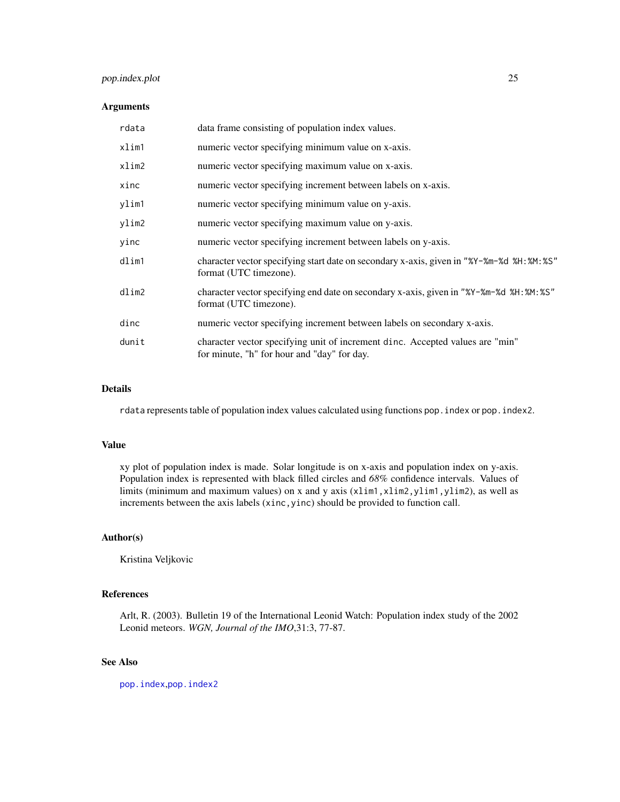# <span id="page-24-0"></span>pop.index.plot 25

# Arguments

| rdata | data frame consisting of population index values.                                                                            |
|-------|------------------------------------------------------------------------------------------------------------------------------|
| xlim1 | numeric vector specifying minimum value on x-axis.                                                                           |
| xlim2 | numeric vector specifying maximum value on x-axis.                                                                           |
| xinc  | numeric vector specifying increment between labels on x-axis.                                                                |
| ylim1 | numeric vector specifying minimum value on y-axis.                                                                           |
| ylim2 | numeric vector specifying maximum value on y-axis.                                                                           |
| yinc  | numeric vector specifying increment between labels on y-axis.                                                                |
| dlim1 | character vector specifying start date on secondary x-axis, given in "%Y-%m-%d %H:%M:%S"<br>format (UTC timezone).           |
| dlim2 | character vector specifying end date on secondary x-axis, given in "%Y-%m-%d %H: %M: %S"<br>format (UTC timezone).           |
| dinc  | numeric vector specifying increment between labels on secondary x-axis.                                                      |
| dunit | character vector specifying unit of increment dinc. Accepted values are "min"<br>for minute, "h" for hour and "day" for day. |

#### Details

rdata represents table of population index values calculated using functions pop.index or pop.index2.

#### Value

xy plot of population index is made. Solar longitude is on x-axis and population index on y-axis. Population index is represented with black filled circles and *68%* confidence intervals. Values of limits (minimum and maximum values) on x and y axis (x1im1,x1im2,y1im1,y1im2), as well as increments between the axis labels (xinc,yinc) should be provided to function call.

#### Author(s)

Kristina Veljkovic

#### References

Arlt, R. (2003). Bulletin 19 of the International Leonid Watch: Population index study of the 2002 Leonid meteors. *WGN, Journal of the IMO*,31:3, 77-87.

# See Also

[pop.index](#page-21-1),[pop.index2](#page-25-1)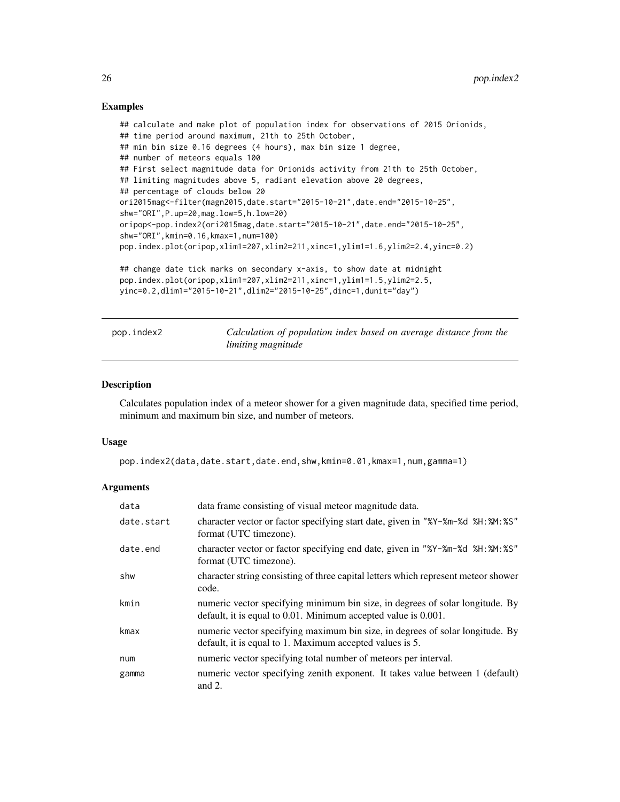#### Examples

```
## calculate and make plot of population index for observations of 2015 Orionids,
## time period around maximum, 21th to 25th October,
## min bin size 0.16 degrees (4 hours), max bin size 1 degree,
## number of meteors equals 100
## First select magnitude data for Orionids activity from 21th to 25th October,
## limiting magnitudes above 5, radiant elevation above 20 degrees,
## percentage of clouds below 20
ori2015mag<-filter(magn2015,date.start="2015-10-21",date.end="2015-10-25",
shw="ORI",P.up=20,mag.low=5,h.low=20)
oripop<-pop.index2(ori2015mag,date.start="2015-10-21",date.end="2015-10-25",
shw="ORI",kmin=0.16,kmax=1,num=100)
pop.index.plot(oripop,xlim1=207,xlim2=211,xinc=1,ylim1=1.6,ylim2=2.4,yinc=0.2)
## change date tick marks on secondary x-axis, to show date at midnight
pop.index.plot(oripop,xlim1=207,xlim2=211,xinc=1,ylim1=1.5,ylim2=2.5,
yinc=0.2,dlim1="2015-10-21",dlim2="2015-10-25",dinc=1,dunit="day")
```
<span id="page-25-1"></span>pop.index2 *Calculation of population index based on average distance from the limiting magnitude*

#### Description

Calculates population index of a meteor shower for a given magnitude data, specified time period, minimum and maximum bin size, and number of meteors.

#### Usage

pop.index2(data,date.start,date.end,shw,kmin=0.01,kmax=1,num,gamma=1)

# Arguments

| data       | data frame consisting of visual meteor magnitude data.                                                                                          |
|------------|-------------------------------------------------------------------------------------------------------------------------------------------------|
| date.start | character vector or factor specifying start date, given in "%Y-%m-%d %H: %M: %S"<br>format (UTC timezone).                                      |
| date.end   | character vector or factor specifying end date, given in "%Y-%m-%d %H: %M: %S"<br>format (UTC timezone).                                        |
| shw        | character string consisting of three capital letters which represent meteor shower<br>code.                                                     |
| kmin       | numeric vector specifying minimum bin size, in degrees of solar longitude. By<br>default, it is equal to 0.01. Minimum accepted value is 0.001. |
| kmax       | numeric vector specifying maximum bin size, in degrees of solar longitude. By<br>default, it is equal to 1. Maximum accepted values is 5.       |
| num        | numeric vector specifying total number of meteors per interval.                                                                                 |
| gamma      | numeric vector specifying zenith exponent. It takes value between 1 (default)<br>and $2$ .                                                      |

<span id="page-25-0"></span>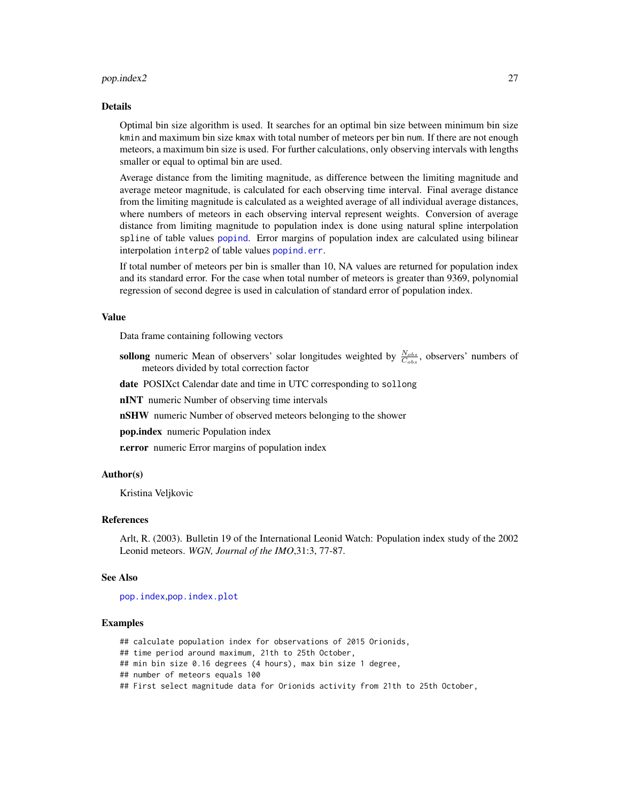#### <span id="page-26-0"></span>pop.index2 27

#### Details

Optimal bin size algorithm is used. It searches for an optimal bin size between minimum bin size kmin and maximum bin size kmax with total number of meteors per bin num. If there are not enough meteors, a maximum bin size is used. For further calculations, only observing intervals with lengths smaller or equal to optimal bin are used.

Average distance from the limiting magnitude, as difference between the limiting magnitude and average meteor magnitude, is calculated for each observing time interval. Final average distance from the limiting magnitude is calculated as a weighted average of all individual average distances, where numbers of meteors in each observing interval represent weights. Conversion of average distance from limiting magnitude to population index is done using natural spline interpolation spline of table values [popind](#page-27-1). Error margins of population index are calculated using bilinear interpolation interp2 of table values [popind.err](#page-27-2).

If total number of meteors per bin is smaller than 10, NA values are returned for population index and its standard error. For the case when total number of meteors is greater than 9369, polynomial regression of second degree is used in calculation of standard error of population index.

#### Value

Data frame containing following vectors

- sollong numeric Mean of observers' solar longitudes weighted by  $\frac{N_{obs}}{C_{obs}}$ , observers' numbers of meteors divided by total correction factor
- date POSIXct Calendar date and time in UTC corresponding to sollong

nINT numeric Number of observing time intervals

nSHW numeric Number of observed meteors belonging to the shower

pop.index numeric Population index

**r.error** numeric Error margins of population index

#### Author(s)

Kristina Veljkovic

# References

Arlt, R. (2003). Bulletin 19 of the International Leonid Watch: Population index study of the 2002 Leonid meteors. *WGN, Journal of the IMO*,31:3, 77-87.

#### See Also

[pop.index](#page-21-1),[pop.index.plot](#page-23-1)

#### Examples

## calculate population index for observations of 2015 Orionids,

## time period around maximum, 21th to 25th October,

- ## min bin size 0.16 degrees (4 hours), max bin size 1 degree,
- ## number of meteors equals 100

## First select magnitude data for Orionids activity from 21th to 25th October,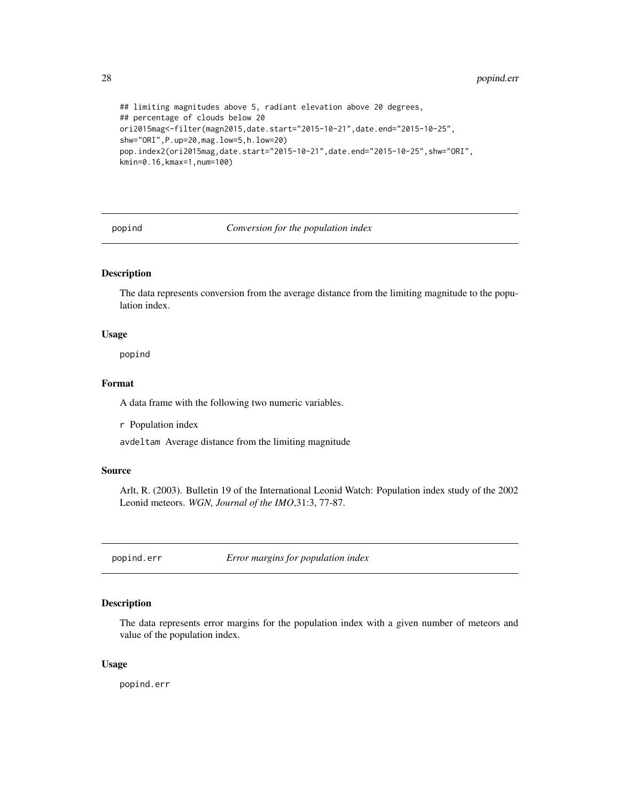```
## limiting magnitudes above 5, radiant elevation above 20 degrees,
## percentage of clouds below 20
ori2015mag<-filter(magn2015,date.start="2015-10-21",date.end="2015-10-25",
shw="ORI",P.up=20,mag.low=5,h.low=20)
pop.index2(ori2015mag,date.start="2015-10-21",date.end="2015-10-25",shw="ORI",
kmin=0.16,kmax=1,num=100)
```
<span id="page-27-1"></span>popind *Conversion for the population index*

# Description

The data represents conversion from the average distance from the limiting magnitude to the population index.

# Usage

popind

# Format

A data frame with the following two numeric variables.

r Population index

avdeltam Average distance from the limiting magnitude

#### Source

Arlt, R. (2003). Bulletin 19 of the International Leonid Watch: Population index study of the 2002 Leonid meteors. *WGN, Journal of the IMO*,31:3, 77-87.

<span id="page-27-2"></span>popind.err *Error margins for population index*

#### Description

The data represents error margins for the population index with a given number of meteors and value of the population index.

# Usage

popind.err

<span id="page-27-0"></span>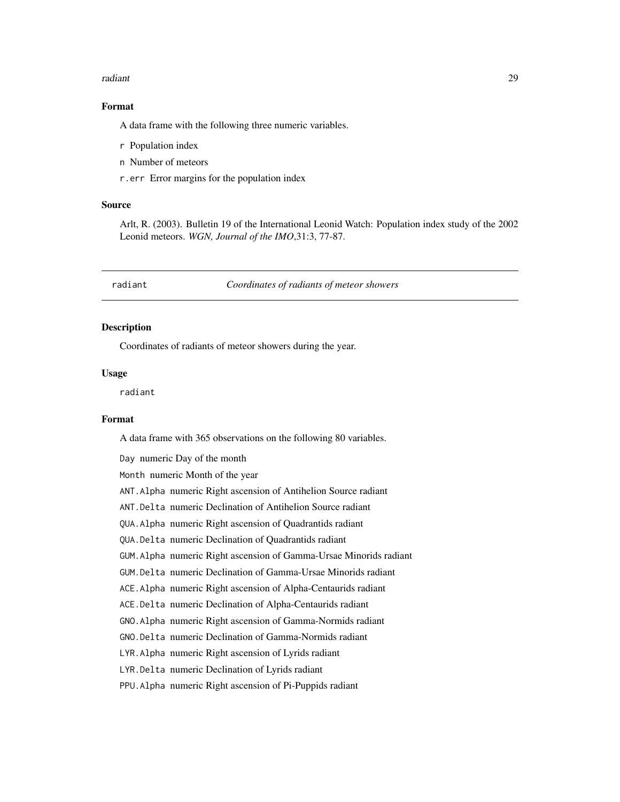#### <span id="page-28-0"></span>radiant 29

#### Format

A data frame with the following three numeric variables.

- r Population index
- n Number of meteors
- r.err Error margins for the population index

# Source

Arlt, R. (2003). Bulletin 19 of the International Leonid Watch: Population index study of the 2002 Leonid meteors. *WGN, Journal of the IMO*,31:3, 77-87.

<span id="page-28-1"></span>radiant *Coordinates of radiants of meteor showers*

# Description

Coordinates of radiants of meteor showers during the year.

#### Usage

radiant

#### Format

A data frame with 365 observations on the following 80 variables.

Day numeric Day of the month

Month numeric Month of the year

- ANT.Alpha numeric Right ascension of Antihelion Source radiant
- ANT.Delta numeric Declination of Antihelion Source radiant
- QUA.Alpha numeric Right ascension of Quadrantids radiant
- QUA.Delta numeric Declination of Quadrantids radiant
- GUM.Alpha numeric Right ascension of Gamma-Ursae Minorids radiant
- GUM.Delta numeric Declination of Gamma-Ursae Minorids radiant
- ACE.Alpha numeric Right ascension of Alpha-Centaurids radiant
- ACE.Delta numeric Declination of Alpha-Centaurids radiant
- GNO.Alpha numeric Right ascension of Gamma-Normids radiant
- GNO.Delta numeric Declination of Gamma-Normids radiant
- LYR.Alpha numeric Right ascension of Lyrids radiant
- LYR.Delta numeric Declination of Lyrids radiant

PPU.Alpha numeric Right ascension of Pi-Puppids radiant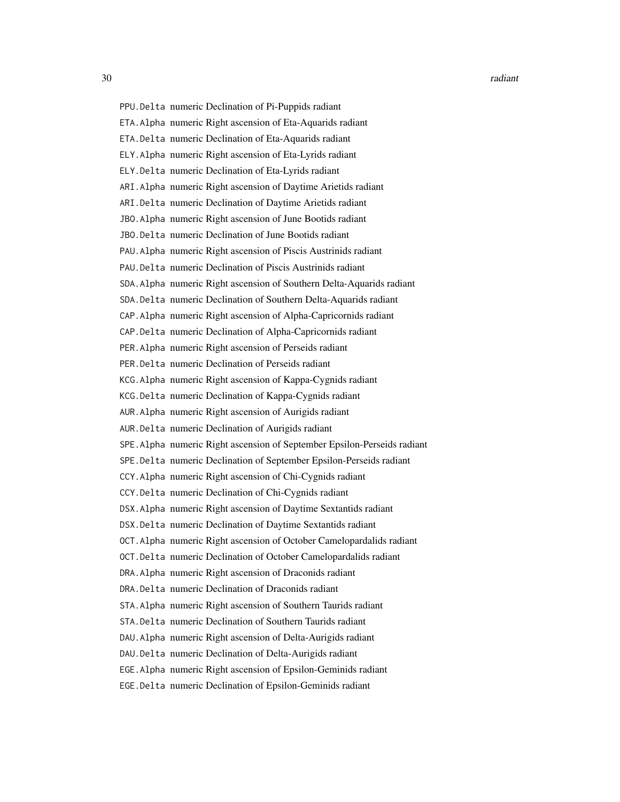30 radiant control of the control of the control of the control of the control of the control of the control of the control of the control of the control of the control of the control of the control of the control of the c

PPU.Delta numeric Declination of Pi-Puppids radiant ETA.Alpha numeric Right ascension of Eta-Aquarids radiant ETA.Delta numeric Declination of Eta-Aquarids radiant ELY.Alpha numeric Right ascension of Eta-Lyrids radiant ELY.Delta numeric Declination of Eta-Lyrids radiant ARI.Alpha numeric Right ascension of Daytime Arietids radiant ARI.Delta numeric Declination of Daytime Arietids radiant JBO.Alpha numeric Right ascension of June Bootids radiant JBO.Delta numeric Declination of June Bootids radiant PAU.Alpha numeric Right ascension of Piscis Austrinids radiant PAU.Delta numeric Declination of Piscis Austrinids radiant SDA.Alpha numeric Right ascension of Southern Delta-Aquarids radiant SDA.Delta numeric Declination of Southern Delta-Aquarids radiant CAP.Alpha numeric Right ascension of Alpha-Capricornids radiant CAP.Delta numeric Declination of Alpha-Capricornids radiant PER.Alpha numeric Right ascension of Perseids radiant PER.Delta numeric Declination of Perseids radiant KCG.Alpha numeric Right ascension of Kappa-Cygnids radiant KCG.Delta numeric Declination of Kappa-Cygnids radiant AUR.Alpha numeric Right ascension of Aurigids radiant AUR.Delta numeric Declination of Aurigids radiant SPE.Alpha numeric Right ascension of September Epsilon-Perseids radiant SPE.Delta numeric Declination of September Epsilon-Perseids radiant CCY.Alpha numeric Right ascension of Chi-Cygnids radiant CCY.Delta numeric Declination of Chi-Cygnids radiant DSX.Alpha numeric Right ascension of Daytime Sextantids radiant DSX.Delta numeric Declination of Daytime Sextantids radiant OCT.Alpha numeric Right ascension of October Camelopardalids radiant OCT.Delta numeric Declination of October Camelopardalids radiant DRA.Alpha numeric Right ascension of Draconids radiant DRA.Delta numeric Declination of Draconids radiant STA.Alpha numeric Right ascension of Southern Taurids radiant STA.Delta numeric Declination of Southern Taurids radiant DAU.Alpha numeric Right ascension of Delta-Aurigids radiant DAU.Delta numeric Declination of Delta-Aurigids radiant EGE.Alpha numeric Right ascension of Epsilon-Geminids radiant EGE.Delta numeric Declination of Epsilon-Geminids radiant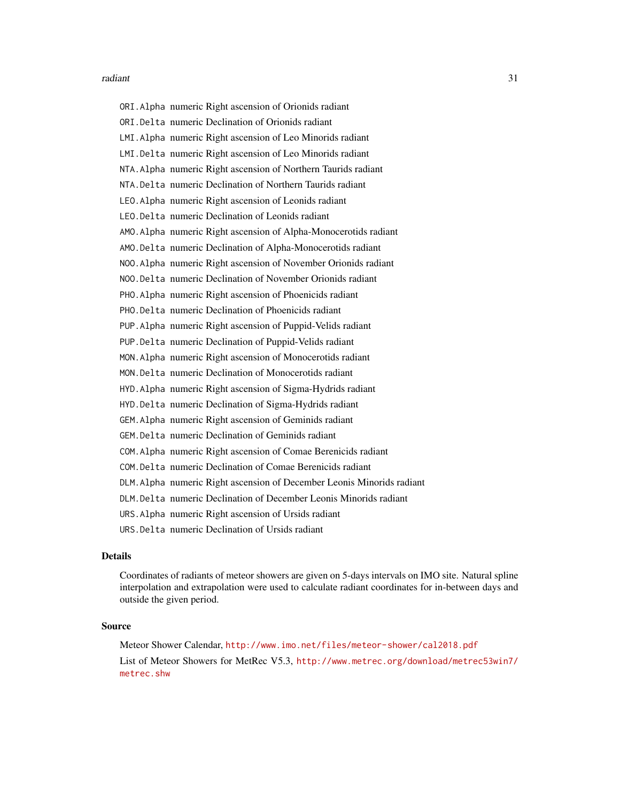#### radiant 31

ORI.Alpha numeric Right ascension of Orionids radiant ORI.Delta numeric Declination of Orionids radiant LMI.Alpha numeric Right ascension of Leo Minorids radiant LMI.Delta numeric Right ascension of Leo Minorids radiant NTA.Alpha numeric Right ascension of Northern Taurids radiant NTA.Delta numeric Declination of Northern Taurids radiant LEO.Alpha numeric Right ascension of Leonids radiant LEO.Delta numeric Declination of Leonids radiant AMO.Alpha numeric Right ascension of Alpha-Monocerotids radiant AMO.Delta numeric Declination of Alpha-Monocerotids radiant NOO.Alpha numeric Right ascension of November Orionids radiant NOO.Delta numeric Declination of November Orionids radiant PHO.Alpha numeric Right ascension of Phoenicids radiant PHO.Delta numeric Declination of Phoenicids radiant PUP.Alpha numeric Right ascension of Puppid-Velids radiant PUP.Delta numeric Declination of Puppid-Velids radiant MON.Alpha numeric Right ascension of Monocerotids radiant MON.Delta numeric Declination of Monocerotids radiant HYD.Alpha numeric Right ascension of Sigma-Hydrids radiant HYD.Delta numeric Declination of Sigma-Hydrids radiant GEM.Alpha numeric Right ascension of Geminids radiant GEM.Delta numeric Declination of Geminids radiant COM.Alpha numeric Right ascension of Comae Berenicids radiant COM.Delta numeric Declination of Comae Berenicids radiant DLM.Alpha numeric Right ascension of December Leonis Minorids radiant DLM.Delta numeric Declination of December Leonis Minorids radiant URS.Alpha numeric Right ascension of Ursids radiant URS.Delta numeric Declination of Ursids radiant

# Details

Coordinates of radiants of meteor showers are given on 5-days intervals on IMO site. Natural spline interpolation and extrapolation were used to calculate radiant coordinates for in-between days and outside the given period.

#### Source

Meteor Shower Calendar, <http://www.imo.net/files/meteor-shower/cal2018.pdf> List of Meteor Showers for MetRec V5.3, [http://www.metrec.org/download/metrec53win7/](http://www.metrec.org/download/metrec53win7/metrec.shw) [metrec.shw](http://www.metrec.org/download/metrec53win7/metrec.shw)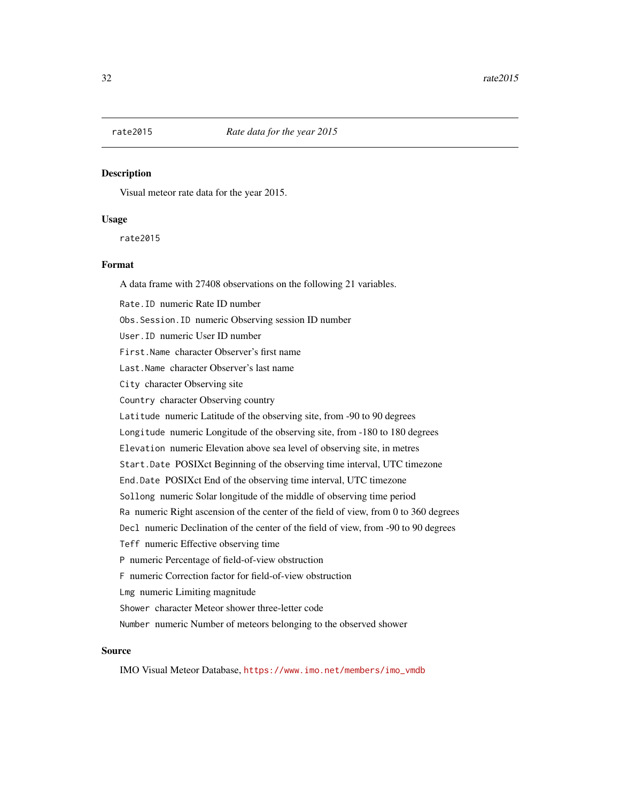<span id="page-31-0"></span>

Visual meteor rate data for the year 2015.

#### Usage

rate2015

#### Format

A data frame with 27408 observations on the following 21 variables.

Rate.ID numeric Rate ID number Obs.Session.ID numeric Observing session ID number User.ID numeric User ID number First.Name character Observer's first name Last.Name character Observer's last name City character Observing site Country character Observing country Latitude numeric Latitude of the observing site, from -90 to 90 degrees Longitude numeric Longitude of the observing site, from -180 to 180 degrees Elevation numeric Elevation above sea level of observing site, in metres Start.Date POSIXct Beginning of the observing time interval, UTC timezone End.Date POSIXct End of the observing time interval, UTC timezone Sollong numeric Solar longitude of the middle of observing time period Ra numeric Right ascension of the center of the field of view, from 0 to 360 degrees Decl numeric Declination of the center of the field of view, from -90 to 90 degrees Teff numeric Effective observing time P numeric Percentage of field-of-view obstruction F numeric Correction factor for field-of-view obstruction Lmg numeric Limiting magnitude Shower character Meteor shower three-letter code Number numeric Number of meteors belonging to the observed shower

#### Source

IMO Visual Meteor Database, [https://www.imo.net/members/imo\\_vmdb](https://www.imo.net/members/imo_vmdb)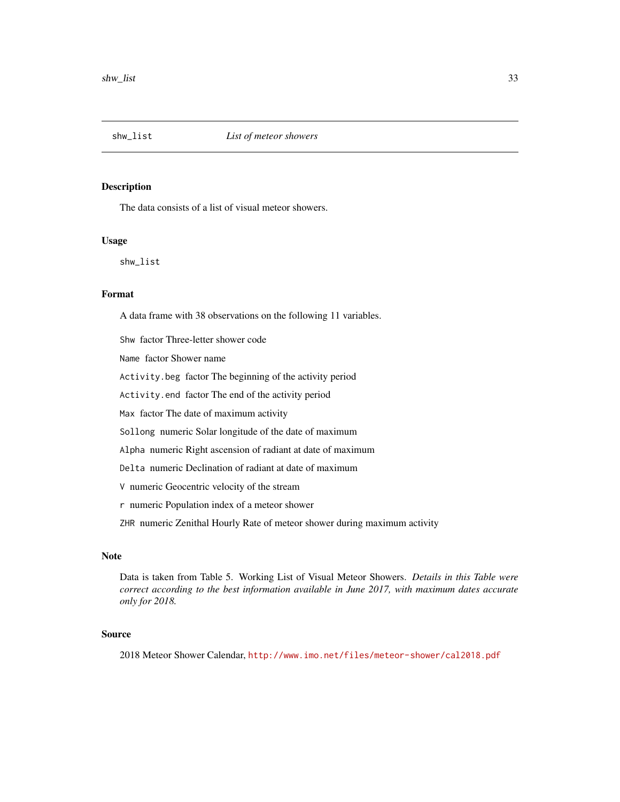<span id="page-32-1"></span><span id="page-32-0"></span>

The data consists of a list of visual meteor showers.

#### Usage

shw\_list

# Format

A data frame with 38 observations on the following 11 variables.

Shw factor Three-letter shower code

Name factor Shower name

Activity.beg factor The beginning of the activity period

Activity.end factor The end of the activity period

Max factor The date of maximum activity

Sollong numeric Solar longitude of the date of maximum

Alpha numeric Right ascension of radiant at date of maximum

Delta numeric Declination of radiant at date of maximum

V numeric Geocentric velocity of the stream

r numeric Population index of a meteor shower

ZHR numeric Zenithal Hourly Rate of meteor shower during maximum activity

#### Note

Data is taken from Table 5. Working List of Visual Meteor Showers. *Details in this Table were correct according to the best information available in June 2017, with maximum dates accurate only for 2018.*

# Source

2018 Meteor Shower Calendar, <http://www.imo.net/files/meteor-shower/cal2018.pdf>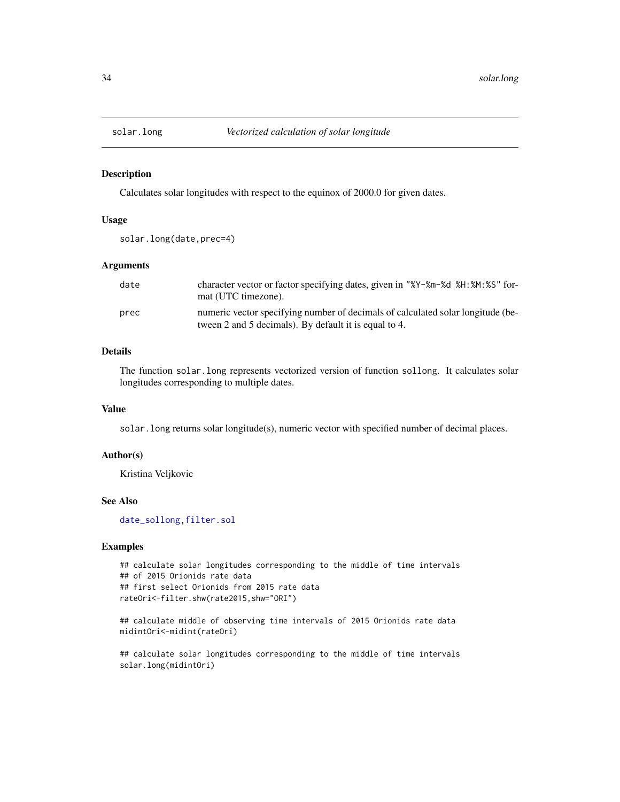<span id="page-33-1"></span><span id="page-33-0"></span>

Calculates solar longitudes with respect to the equinox of 2000.0 for given dates.

#### Usage

```
solar.long(date,prec=4)
```
#### Arguments

| date | character vector or factor specifying dates, given in "%Y-%m-%d %H: %M: %S" for-<br>mat (UTC timezone).                                  |
|------|------------------------------------------------------------------------------------------------------------------------------------------|
| prec | numeric vector specifying number of decimals of calculated solar longitude (be-<br>tween 2 and 5 decimals). By default it is equal to 4. |

# Details

The function solar.long represents vectorized version of function sollong. It calculates solar longitudes corresponding to multiple dates.

#### Value

solar.long returns solar longitude(s), numeric vector with specified number of decimal places.

# Author(s)

Kristina Veljkovic

# See Also

[date\\_sollong](#page-3-1)[,filter.sol](#page-15-1)

# Examples

```
## calculate solar longitudes corresponding to the middle of time intervals
## of 2015 Orionids rate data
## first select Orionids from 2015 rate data
rateOri<-filter.shw(rate2015,shw="ORI")
```
## calculate middle of observing time intervals of 2015 Orionids rate data midintOri<-midint(rateOri)

## calculate solar longitudes corresponding to the middle of time intervals solar.long(midintOri)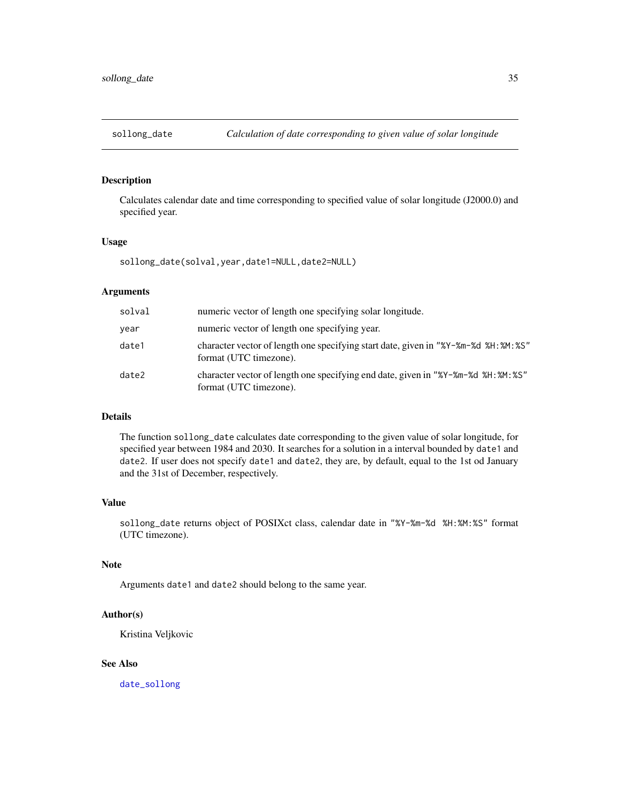<span id="page-34-1"></span><span id="page-34-0"></span>

Calculates calendar date and time corresponding to specified value of solar longitude (J2000.0) and specified year.

#### Usage

sollong\_date(solval,year,date1=NULL,date2=NULL)

#### Arguments

| solval | numeric vector of length one specifying solar longitude.                                                       |
|--------|----------------------------------------------------------------------------------------------------------------|
| year   | numeric vector of length one specifying year.                                                                  |
| date1  | character vector of length one specifying start date, given in "%Y-%m-%d %H: %M: %S"<br>format (UTC timezone). |
| date2  | character vector of length one specifying end date, given in "%Y-%m-%d %H: %M: %S"<br>format (UTC timezone).   |

#### Details

The function sollong\_date calculates date corresponding to the given value of solar longitude, for specified year between 1984 and 2030. It searches for a solution in a interval bounded by date1 and date2. If user does not specify date1 and date2, they are, by default, equal to the 1st od January and the 31st of December, respectively.

# Value

sollong\_date returns object of POSIXct class, calendar date in "%Y-%m-%d %H:%M:%S" format (UTC timezone).

# Note

Arguments date1 and date2 should belong to the same year.

#### Author(s)

Kristina Veljkovic

# See Also

[date\\_sollong](#page-3-1)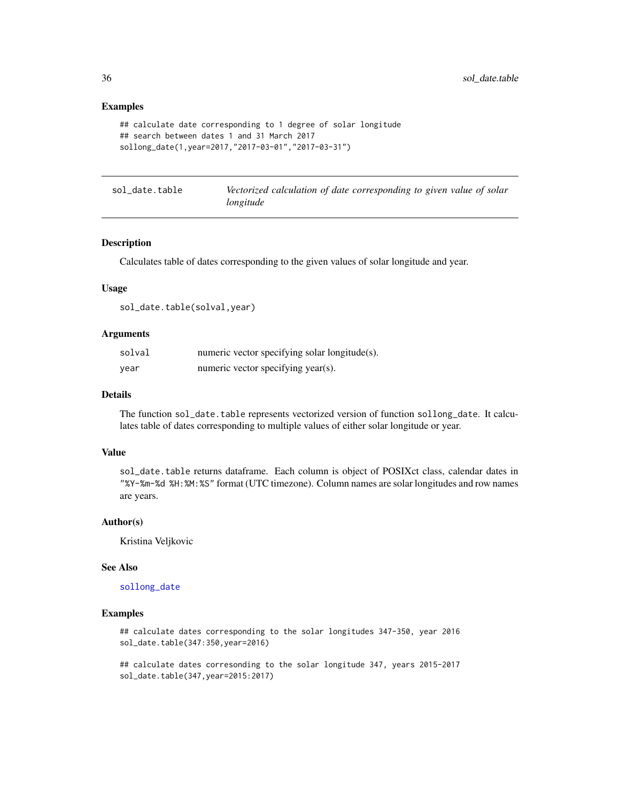# Examples

```
## calculate date corresponding to 1 degree of solar longitude
## search between dates 1 and 31 March 2017
sollong_date(1,year=2017,"2017-03-01","2017-03-31")
```
sol\_date.table *Vectorized calculation of date corresponding to given value of solar longitude*

#### Description

Calculates table of dates corresponding to the given values of solar longitude and year.

#### Usage

sol\_date.table(solval,year)

#### Arguments

| solval | numeric vector specifying solar longitude(s). |
|--------|-----------------------------------------------|
| year   | numeric vector specifying year(s).            |

# Details

The function sol\_date.table represents vectorized version of function sollong\_date. It calculates table of dates corresponding to multiple values of either solar longitude or year.

# Value

sol\_date.table returns dataframe. Each column is object of POSIXct class, calendar dates in "%Y-%m-%d %H:%M:%S" format (UTC timezone). Column names are solar longitudes and row names are years.

#### Author(s)

Kristina Veljkovic

#### See Also

[sollong\\_date](#page-34-1)

#### Examples

## calculate dates corresponding to the solar longitudes 347-350, year 2016 sol\_date.table(347:350,year=2016)

## calculate dates corresonding to the solar longitude 347, years 2015-2017 sol\_date.table(347,year=2015:2017)

<span id="page-35-0"></span>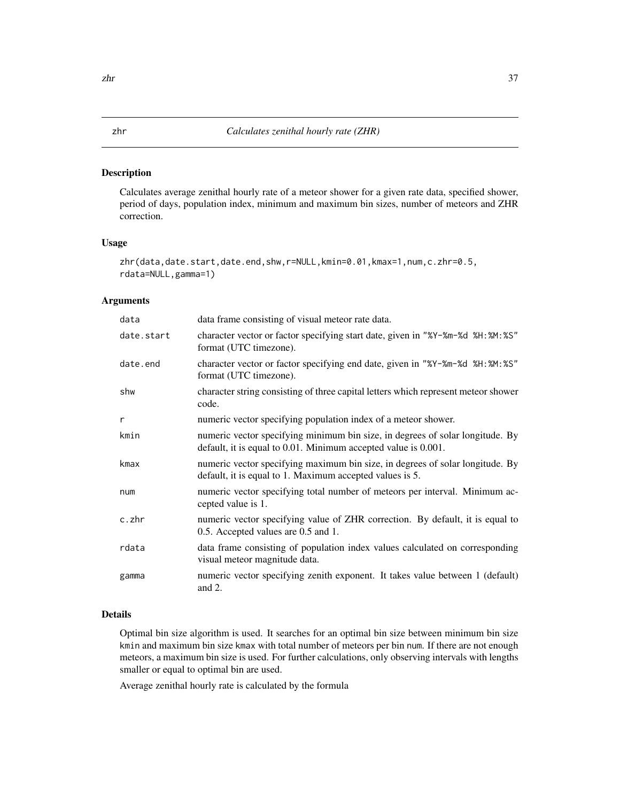<span id="page-36-1"></span><span id="page-36-0"></span>Calculates average zenithal hourly rate of a meteor shower for a given rate data, specified shower, period of days, population index, minimum and maximum bin sizes, number of meteors and ZHR correction.

#### Usage

```
zhr(data,date.start,date.end,shw,r=NULL,kmin=0.01,kmax=1,num,c.zhr=0.5,
rdata=NULL,gamma=1)
```
# Arguments

| data       | data frame consisting of visual meteor rate data.                                                                                               |
|------------|-------------------------------------------------------------------------------------------------------------------------------------------------|
| date.start | character vector or factor specifying start date, given in "%Y-%m-%d %H:%M:%S"<br>format (UTC timezone).                                        |
| date.end   | character vector or factor specifying end date, given in "%Y-%m-%d %H:%M:%S"<br>format (UTC timezone).                                          |
| shw        | character string consisting of three capital letters which represent meteor shower<br>code.                                                     |
| r          | numeric vector specifying population index of a meteor shower.                                                                                  |
| kmin       | numeric vector specifying minimum bin size, in degrees of solar longitude. By<br>default, it is equal to 0.01. Minimum accepted value is 0.001. |
| kmax       | numeric vector specifying maximum bin size, in degrees of solar longitude. By<br>default, it is equal to 1. Maximum accepted values is 5.       |
| num        | numeric vector specifying total number of meteors per interval. Minimum ac-<br>cepted value is 1.                                               |
| c.zhr      | numeric vector specifying value of ZHR correction. By default, it is equal to<br>0.5. Accepted values are 0.5 and 1.                            |
| rdata      | data frame consisting of population index values calculated on corresponding<br>visual meteor magnitude data.                                   |
| gamma      | numeric vector specifying zenith exponent. It takes value between 1 (default)<br>and $2$ .                                                      |

#### Details

Optimal bin size algorithm is used. It searches for an optimal bin size between minimum bin size kmin and maximum bin size kmax with total number of meteors per bin num. If there are not enough meteors, a maximum bin size is used. For further calculations, only observing intervals with lengths smaller or equal to optimal bin are used.

Average zenithal hourly rate is calculated by the formula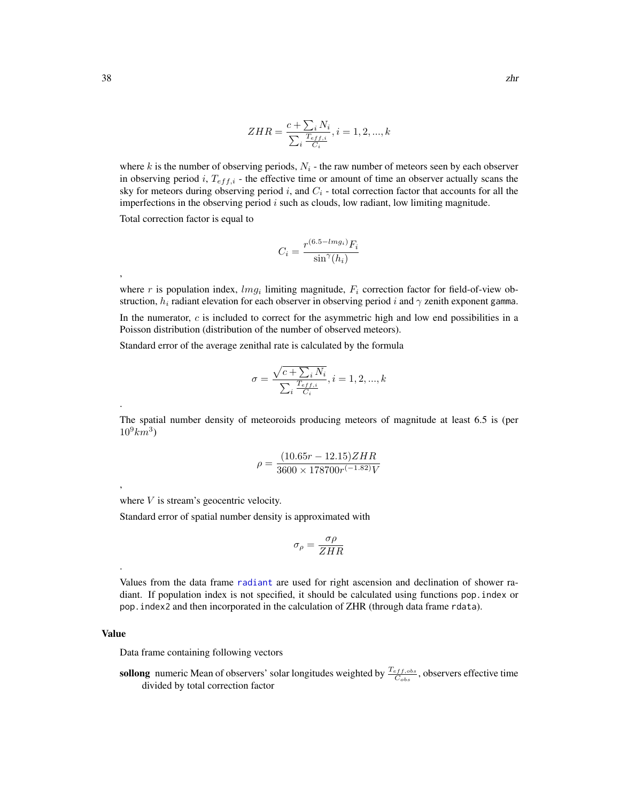$$
ZHR = \frac{c + \sum_{i} N_i}{\sum_{i} \frac{T_{eff,i}}{C_i}}, i = 1, 2, ..., k
$$

<span id="page-37-0"></span>where k is the number of observing periods,  $N_i$  - the raw number of meteors seen by each observer in observing period i,  $T_{eff,i}$  - the effective time or amount of time an observer actually scans the sky for meteors during observing period i, and  $C_i$  - total correction factor that accounts for all the imperfections in the observing period  $i$  such as clouds, low radiant, low limiting magnitude.

Total correction factor is equal to

$$
C_i = \frac{r^{(6.5 - lmg_i)}F_i}{\sin^{\gamma}(h_i)}
$$

where r is population index,  $lmg_i$  limiting magnitude,  $F_i$  correction factor for field-of-view obstruction,  $h_i$  radiant elevation for each observer in observing period i and  $\gamma$  zenith exponent gamma. In the numerator,  $c$  is included to correct for the asymmetric high and low end possibilities in a Poisson distribution (distribution of the number of observed meteors).

Standard error of the average zenithal rate is calculated by the formula

$$
\sigma = \frac{\sqrt{c+\sum_i N_i}}{\sum_i \frac{T_{eff,i}}{C_i}}, i=1,2,...,k
$$

The spatial number density of meteoroids producing meteors of magnitude at least 6.5 is (per  $10^9 km^3$ 

$$
\rho = \frac{(10.65r - 12.15)ZHR}{3600 \times 178700r^{(-1.82)}V}
$$

where  $V$  is stream's geocentric velocity.

Standard error of spatial number density is approximated with

$$
\sigma_{\rho} = \frac{\sigma \rho}{ZHR}
$$

Values from the data frame [radiant](#page-28-1) are used for right ascension and declination of shower radiant. If population index is not specified, it should be calculated using functions pop.index or pop.index2 and then incorporated in the calculation of ZHR (through data frame rdata).

#### Value

Data frame containing following vectors

sollong numeric Mean of observers' solar longitudes weighted by  $\frac{T_{eff,obs}}{C_{obs}}$ , observers effective time divided by total correction factor

,

.

,

.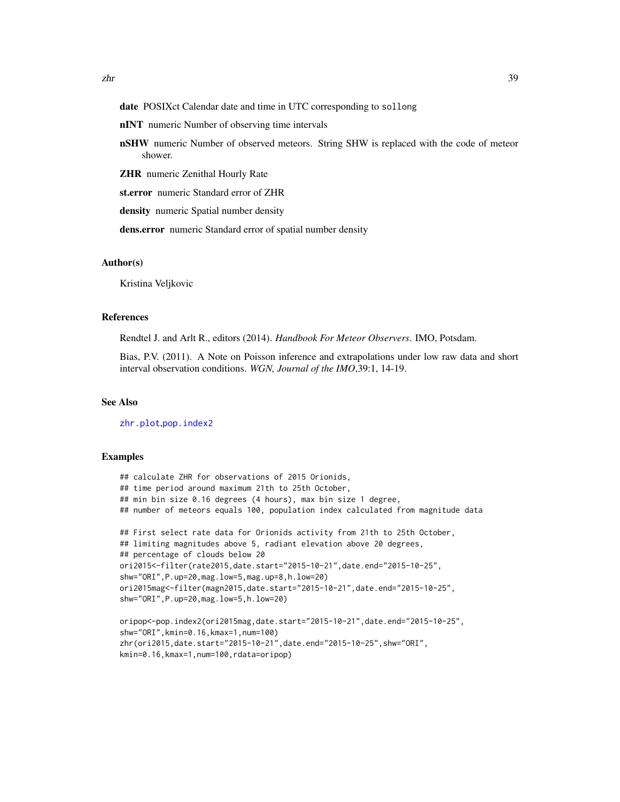- <span id="page-38-0"></span>date POSIXct Calendar date and time in UTC corresponding to sollong
- nINT numeric Number of observing time intervals
- **nSHW** numeric Number of observed meteors. String SHW is replaced with the code of meteor shower.
- ZHR numeric Zenithal Hourly Rate
- st.error numeric Standard error of ZHR
- density numeric Spatial number density
- dens.error numeric Standard error of spatial number density

#### Author(s)

Kristina Veljkovic

#### References

Rendtel J. and Arlt R., editors (2014). *Handbook For Meteor Observers*. IMO, Potsdam.

Bias, P.V. (2011). A Note on Poisson inference and extrapolations under low raw data and short interval observation conditions. *WGN, Journal of the IMO*,39:1, 14-19.

# See Also

[zhr.plot](#page-39-1),[pop.index2](#page-25-1)

#### Examples

```
## calculate ZHR for observations of 2015 Orionids,
## time period around maximum 21th to 25th October,
## min bin size 0.16 degrees (4 hours), max bin size 1 degree,
## number of meteors equals 100, population index calculated from magnitude data
## First select rate data for Orionids activity from 21th to 25th October,
## limiting magnitudes above 5, radiant elevation above 20 degrees,
## percentage of clouds below 20
ori2015<-filter(rate2015,date.start="2015-10-21",date.end="2015-10-25",
shw="ORI",P.up=20,mag.low=5,mag.up=8,h.low=20)
ori2015mag<-filter(magn2015,date.start="2015-10-21",date.end="2015-10-25",
shw="ORI",P.up=20,mag.low=5,h.low=20)
oripop<-pop.index2(ori2015mag,date.start="2015-10-21",date.end="2015-10-25",
shw="ORI",kmin=0.16,kmax=1,num=100)
zhr(ori2015,date.start="2015-10-21",date.end="2015-10-25",shw="ORI",
kmin=0.16,kmax=1,num=100,rdata=oripop)
```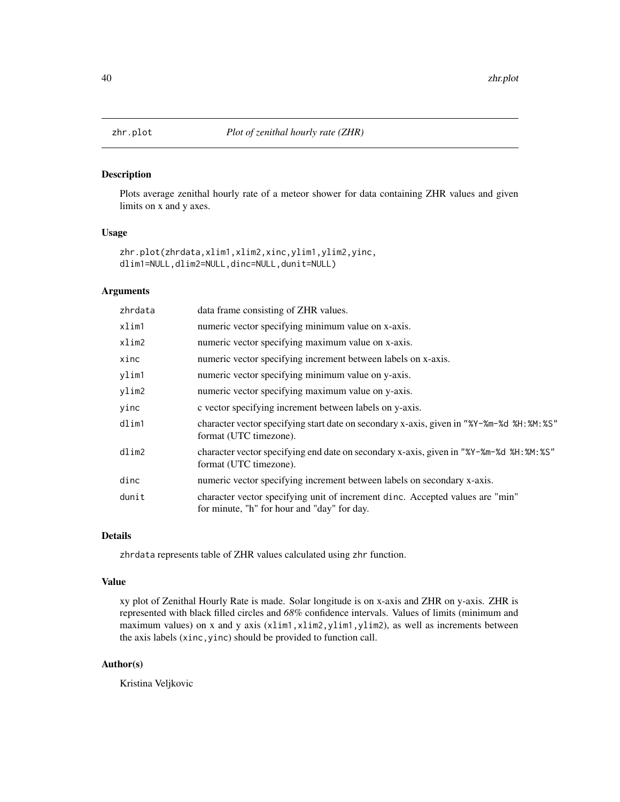Plots average zenithal hourly rate of a meteor shower for data containing ZHR values and given limits on x and y axes.

# Usage

```
zhr.plot(zhrdata,xlim1,xlim2,xinc,ylim1,ylim2,yinc,
dlim1=NULL,dlim2=NULL,dinc=NULL,dunit=NULL)
```
#### Arguments

| zhrdata | data frame consisting of ZHR values.                                                                                         |
|---------|------------------------------------------------------------------------------------------------------------------------------|
| xlim1   | numeric vector specifying minimum value on x-axis.                                                                           |
| xlim2   | numeric vector specifying maximum value on x-axis.                                                                           |
| xinc    | numeric vector specifying increment between labels on x-axis.                                                                |
| ylim1   | numeric vector specifying minimum value on y-axis.                                                                           |
| ylim2   | numeric vector specifying maximum value on y-axis.                                                                           |
| yinc    | c vector specifying increment between labels on y-axis.                                                                      |
| dlim1   | character vector specifying start date on secondary x-axis, given in "%Y-%m-%d %H: %M: %S"<br>format (UTC timezone).         |
| dlim2   | character vector specifying end date on secondary x-axis, given in "%Y-%m-%d %H: %M: %S"<br>format (UTC timezone).           |
| dinc    | numeric vector specifying increment between labels on secondary x-axis.                                                      |
| dunit   | character vector specifying unit of increment dinc. Accepted values are "min"<br>for minute, "h" for hour and "day" for day. |

# Details

zhrdata represents table of ZHR values calculated using zhr function.

#### Value

xy plot of Zenithal Hourly Rate is made. Solar longitude is on x-axis and ZHR on y-axis. ZHR is represented with black filled circles and *68%* confidence intervals. Values of limits (minimum and maximum values) on x and y axis (xlim1,xlim2,ylim1,ylim2), as well as increments between the axis labels (xinc,yinc) should be provided to function call.

# Author(s)

Kristina Veljkovic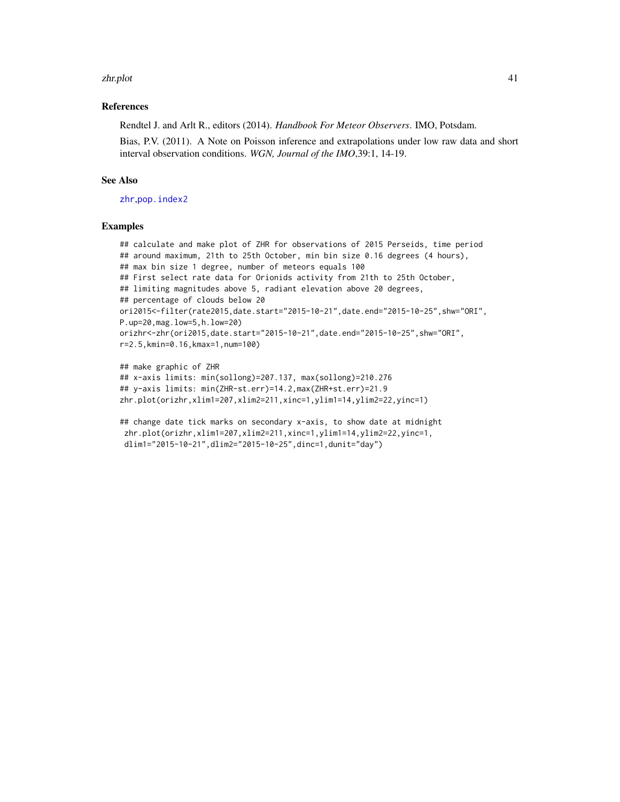#### <span id="page-40-0"></span>zhr.plot 41

#### References

Rendtel J. and Arlt R., editors (2014). *Handbook For Meteor Observers*. IMO, Potsdam.

Bias, P.V. (2011). A Note on Poisson inference and extrapolations under low raw data and short interval observation conditions. *WGN, Journal of the IMO*,39:1, 14-19.

# See Also

[zhr](#page-36-1),[pop.index2](#page-25-1)

#### Examples

```
## calculate and make plot of ZHR for observations of 2015 Perseids, time period
## around maximum, 21th to 25th October, min bin size 0.16 degrees (4 hours),
## max bin size 1 degree, number of meteors equals 100
## First select rate data for Orionids activity from 21th to 25th October,
## limiting magnitudes above 5, radiant elevation above 20 degrees,
## percentage of clouds below 20
ori2015<-filter(rate2015,date.start="2015-10-21",date.end="2015-10-25",shw="ORI",
P.up=20,mag.low=5,h.low=20)
orizhr<-zhr(ori2015,date.start="2015-10-21",date.end="2015-10-25",shw="ORI",
r=2.5,kmin=0.16,kmax=1,num=100)
```

```
## make graphic of ZHR
## x-axis limits: min(sollong)=207.137, max(sollong)=210.276
## y-axis limits: min(ZHR-st.err)=14.2,max(ZHR+st.err)=21.9
zhr.plot(orizhr,xlim1=207,xlim2=211,xinc=1,ylim1=14,ylim2=22,yinc=1)
```
## change date tick marks on secondary x-axis, to show date at midnight zhr.plot(orizhr,xlim1=207,xlim2=211,xinc=1,ylim1=14,ylim2=22,yinc=1, dlim1="2015-10-21",dlim2="2015-10-25",dinc=1,dunit="day")